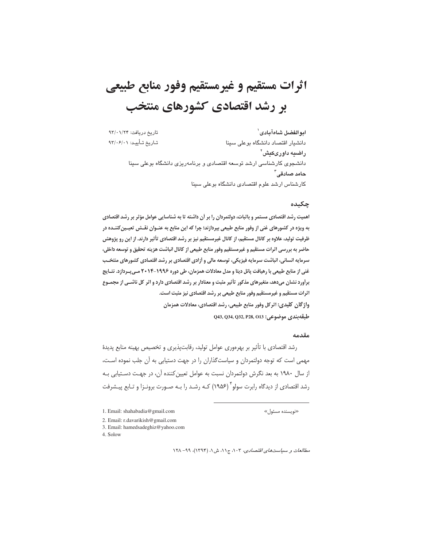# اثرات مستقيم و غيرمستقيم وفور منابع طبيعي بر رشد اقتصادی کشورهای منتخب

تاريخ دريافت: ٩٣/٠١/٢۴ ابوالفضل شاهآبادى` تاريخ تـأييـد: ٩٣/٠۶/٠١ دانشیار اقتصاد دانشگاه بوعلی سینا راضیه داوریکش<sup>۲</sup> دانشجوی کارشناسی ارشد توسعه اقتصادی و برنامهریزی دانشگاه بوعلی سینا حامد صادقے آ کارشناس ارشد علوم اقتصادی دانشگاه بوعلی سینا

#### چکىدە

اهمیت رشد اقتصادی مستمر و باثبات، دولتمردان را بر أن داشته تا به شناسایی عوامل مؤثر بر رشد اقتصادی به ویژه در کشورهای غنی از وفور منابع طبیعی بپردازند؛ چرا که این منابع به عنــوان نقــش تعیــین کننــده در ظرفیت تولید، علاوه بر کانال مستقیم، از کانال غیرمستقیم نیز بر رشد اقتصادی تأثیر دارند. از این رو پژوهش حاضر به بررسی اثرات مستقیم و غیرمستقیم وفور منابع طبیعی از کانال انباشت هزینه تحقیق و توسعه داخلی، سرمایه انسانی، انباشت سرمایه فیزیکی، توسعه مالی و آزادی اقتصادی بر رشد اقتصادی کشورهای منتخـب غنی از منابع طبیعی با رهیافت پانل دیتا و مدل معادلات همزمان، طی دوره ۱۹۹۶-۲۰۱۴ مـی بـردازد. نتـایج برأورد نشان میدهد، متغیرهای مذکور تأثیر مثبت و معنادار بر رشد اقتصادی دارد و اثر کل ناشــی از مجمــوع اثرات مستقیم و غیرمستقیم وفور منابع طبیعی بر رشد اقتصادی نیز مثبت است. واژگان کلیدی: اثرکل وفور منابع طبیعی، رشد اقتصادی، معادلات همزمان 043, Q34, Q32, P28, O13 ; وضوعي: Q43, Q34, Q32, P28, O13

#### مقدمه

رشد اقتصادی با تأثیر بر بهرهوری عوامل تولید، رقابتپذیری و تخصیص بهینه منابع پدیدهٔ مهمی است که توجه دولتمردان و سیاستگذاران را در جهت دستیابی به آن جلب نموده است، از سال ۱۹۸۰ به بعد نگرش دولتمردان نسبت به عوامل تعیین کننده آن، در جهت دستیابی بـه رشد اقتصادی از دیدگاه رابرت سولو ۲ (۱۹۵۶) کـه رشـد را بـه صـورت برونـزا و تـابع پیـشرفت

- 2. Email: r.davarikish@gmail.com
- 3. Email: hamedsadeghiz@yahoo.com
- 4. Solow

مطالعات و سياست هاى اقتصادى، ١٠٣، ج١١، ش ١، (١٣٩۴)، ٩٩- ١٢٨

<sup>1.</sup> Email: shahabadia@gmail.com

<sup>«</sup>نویسنده مسئول»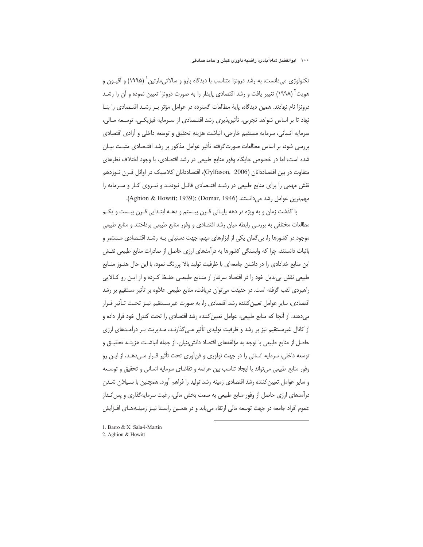تکنولوژی می،دانست، به رشد درونزا متناسب با دیدگاه بارو و سالائی،مارتین` (۱۹۹۵) و آقیـون و هویت` (۱۹۹۸) تغییر یافت و رشد اقتصادی پایدار را به صورت درونزا تعیین نموده و آن را رشـد درونزا نام نهادند. همین دیدگاه، پایهٔ مطالعات گسترده در عوامل مؤثر بـر رشـد اقتـصادی را بنـا نهاد تا بر اساس شواهد تجربی، تأثیریذیری رشد اقتـصادی از سـرمایه فیزیکـی، توسـعه مـالی، سرمايه انساني، سرمايه مستقيم خارجي، انباشت هزينه تحقيق و توسعه داخلي و أزادي اقتصادي بررسی شود، بر اساس مطالعات صورتگرفته تأثیر عوامل مذکور بر رشد اقتـصادی مثبـت بیـان شده است، اما در خصوص جایگاه وفور منابع طبیعی در رشد اقتصادی، با وجود اختلاف نظرهای متفاوت در بین اقتصاددانان (Gylfason, 2006)، اقتصاددانان کلاسیک در اوائل قـرن نـوزدهم نقش مهمی را برای منابع طبیعی در رشد اقتـصادی قائـل نبودنـد و نیـروی کـار و سـرمایه را مهم ترين عوامل رشد مى دانستند (Domar, 1946).(Aghion & Howitt; 1939);

با گذشت زمان و به ویژه در دهه پایـانی قـرن بیـستم و دهــه ابتـدایی قـرن بیـست و یکــم مطالعات مختلفی به بررسی رابطه میان رشد اقتصادی و وفور منابع طبیعی پرداختند و منابع طبیعی موجود در کشورها را، بی گمان یکی از ابزارهای مهم، جهت دستیابی بـه رشـد اقتـصادی مـستمر و باثبات دانستند، چرا که وابستگی کشورها به درآمدهای ارزی حاصل از صادرات منابع طبیعی نقش این منابع خدادادی را در داشتن جامعهای با ظرفیت تولید بالا پررنگ نمود، با این حال هنـوز منــابع طبیعی نقش بی بدیل خود را در اقتصاد سرشار از منـابع طبیعـی حفـظ کـرده و از ایـن رو کـالایی راهبردی لقب گرفته است. در حقیقت می توان دریافت، منابع طبیعی علاوه بر تأثیر مستقیم بر رشد اقتصادی، سایر عوامل تعیین کننده رشد اقتصادی را، به صورت غیرمـستقیم نیــز تحــت تــأثیر قــرار مے دهند. از آنجا که منابع طبیعی، عوامل تعیین کننده رشد اقتصادی را تحت کنترل خود قرار داده و از کانال غیرمستقیم نیز بر رشد و ظرفیت تولیدی تأثیر مے گذارنـد، مـدیریت بـر درآمـدهای ارزی حاصل از منابع طبیعی با توجه به مؤلفههای اقتصاد دانش بنیان، از جمله انباشـت هزینــه تحقیــق و توسعه داخلي، سرمايه انساني را در جهت نوآوري و فن آوري تحت تأثير قـرار مـي<هـد، از ايـن رو وفور منابع طبیعی می تواند با ایجاد تناسب بین عرضه و تقاضای سرمایه انسانی و تحقیق و توسـعه و سایر عوامل تعیین کننده رشد اقتصادی زمینه رشد تولید را فراهم آورد. همچنین با سـیلان شـدن درآمدهای ارزی حاصل از وفور منابع طبیعی به سمت بخش مالی، رغبت سرمایه گذاری و پس انـداز عموم افراد جامعه در جهت توسعه مالی ارتقاء می یابد و در همـین راسـتا نیـز زمینـههـای افـزایش

- 1. Barro & X. Sala-i-Martin
- 2. Aghion & Howitt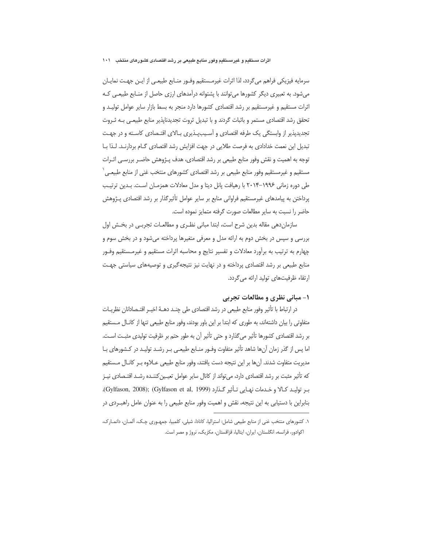#### اثرات مستقیم و غیرمستقیم وفور منابع طبیعی بر رشد اقتصادی کشورهای منتخب ۱۰۱

سرمايه فيزيكي فراهم مي گردد، لذا اثرات غيرمــستقيم وفــور منــابع طبيعــي از ايــن جهــت نمايــان می شود. به تعبیری دیگر کشورها می توانند با پشتوانه درآمدهای ارزی حاصل از منـابع طبیعـی کـه اثرات مستقیم و غیرمستقیم بر رشد اقتصادی کشورها دارد منجر به بسط بازار سایر عوامل تولیـد و تحقق رشد اقتصادی مستمر و باثبات گردند و با تبدیل ثروت تجدیدناپذیر منابع طبیعـی بـه ثـروت تجدیدپذیر از وابستگی یک طرفه اقتصادی و آسـیبپـذیری بـالای اقتـصادی کاسـته و در جهـت تبدیل این نعمت خدادادی به فرصت طلایی در جهت افزایش رشد اقتصادی گـام بردارنـد. لـذا بـا توجه به اهمیت و نقش وفور منابع طبیعی بر رشد اقتصادی، هدف پـژوهش حاضـر بررسـی اثـرات مستقیم و غیرمستقیم وفور منابع طبیعی بر رشد اقتصادی کشورهای منتخب غنی از منابع طبیعـی ٔ طی دوره زمانی ۱۹۹۶–۲۰۱۴ با رهیافت پانل دیتا و مدل معادلات همزمـان اسـت. بـدین ترتیـب پرداختن به پیامدهای غیرمستقیم فراوانی منابع بر سایر عوامل تأثیرگذار بر رشد اقتصادی پـژوهش حاضر را نسبت به سایر مطالعات صورت گرفته متمایز نموده است.

سازمان دهی مقاله بدین شرح است، ابتدا مبانی نظـری و مطالعـات تجربـی در بخـش اول بررسی و سپس در بخش دوم به ارائه مدل و معرفی متغیرها پرداخته می شود و در بخش سوم و چهارم به ترتیب به برآورد معادلات و تفسیر نتایج و محاسبه اثرات مستقیم و غیرمـستقیم وفـور منابع طبیعی بر رشد اقتصادی پرداخته و در نهایت نیز نتیجه گیری و توصیههای سیاستی جهـت ارتقاء ظرفیتهای تولید ارائه می گردد.

# ۱- مبانی نظری و مطالعات تجربی

در ارتباط با تأثیر وفور منابع طبیعی در رشد اقتصادی طی چنـد دهـهٔ اخیـر اقتـصادانان نظریـات متفاوتی را بیان داشتهاند، به طوری که ابتدا بر این باور بودند، وفور منابع طبیعی تنها از کانال مستقیم بر رشد اقتصادی کشورها تأثیر می گذارد و حتی تأثیر آن به طور حتم بر ظرفیت تولیدی مثبت اسـت. اما پس از گذر زمان آنها شاهد تأثیر متفاوت وفـور منـابع طبیعـی بـر رشـد تولیـد در کـشورهای بـا مديريت متفاوت شدند. آنها بر اين نتيجه دست يافتند، وفور منابع طبيعي عــلاوه بــر كانــال مــستقيم كه تأثير مثبت بر رشد اقتصادي دارد، مي تواند از كانال ساير عوامل تعيـين كننــده رشــد اقتــصادي نيــز بر توليد كالا و خدمات نهـايي تـأثير گـذارد (Gylfason, 2008); (Gylfason et al, 1999). بنابراین با دستیابی به این نتیجه، نقش و اهمیت وفور منابع طبیعی را به عنوان عامل راهبــردی در

١. كشورهاى منتخب غنى از منابع طبيعي شامل: استراليا، كانادا، شيلي، كلمبيا، جمهـورى چك، ألمـان، دانمـارك، اکوادور، فرانسه، انگلستان، ایران، ایتالیا، قزاقستان، مکزیک، نروژ و مصر است.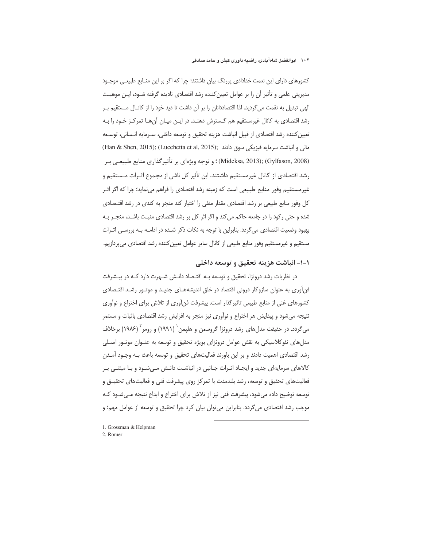کشورهای دارای این نعمت خدادادی پررنگ بیان داشتند؛ چرا که اگر بر این منـابع طبیعـی موجـود مدیریتی علمی و تأثیر آن را بر عوامل تعیین کننده رشد اقتصادی نادیده گرفته شـود، ایـن موهبـت الهی تبدیل به نقمت میگردید. لذا اقتصاددانان را بر آن داشت تا دید خود را از کانـال مـستقیم بـر رشد اقتصادی به کانال غیرمستقیم هم گـسترش دهنـد. در ایـن میـان آنهـا تمرکـز خـود را بـه تعيين كننده رشد اقتصادي از قبيل انباشت هزينه تحقيق و توسعه داخلي، سـرمايه انـساني، توسـعه مالی و انباشت سرمایه فیزیکی سوق دادند (Lucchetta et al, 2015); (Han & Shen, 2015); (Gylfason, 2008) :(Mideksa, 2013) ؛ و توجه ويژهاي بر تأثير گذاري منابع طبيعـي بـر رشد اقتصادی از کانال غیرمستقیم داشتند. این تأثیر کل ناشی از مجموع اثـرات مـستقیم و غیرمستقیم وفور منابع طبیعی است که زمینه رشد اقتصادی را فراهم مینماید؛ چرا که اگر اثـر کل وفور منابع طبیعی بر رشد اقتصادی مقدار منفی را اختیار کند منجر به کندی در رشد اقتـصادی شده و حتی رکود را در جامعه حاکم میکند و اگر اثر کل بر رشد اقتصادی مثبت باشـد، منجـر بـه بهبود وضعیت اقتصادی می گردد. بنابراین با توجه به نکات ذکر شـده در ادامــه بــه بررســی اثــرات مستقيم و غيرمستقيم وفور منابع طبيعي از كانال ساير عوامل تعيين كننده رشد اقتصادي مي يردازيم.

# ١-١- انباشت هزينه تحقيق و توسعه داخلي

در نظریات رشد درونزا، تحقیق و توسعه بـه اقتـصاد دانـش شـهرت دارد کـه در پیـشرفت فنآوری به عنوان سازوکار درونی اقتصاد در خلق اندیشههـای جدیـد و موتـور رشـد اقتـصادی کشورهای غنی از منابع طبیعی تاثیرگذار است. پیشرفت فن[وری از تلاش برای اختراع و نوآوری نتيجه مي شود و پيدايش هر اختراع و نوآوري نيز منجر به افزايش رشد اقتصادي باثبات و مستمر میگردد. در حقیقت مدلهای رشد درونزا گروسمن و هلپمن` (۱۹۹۱) و رومر<sup>۲</sup> (۱۹۸۶) برخلاف مدلهای نئوکلاسیکی به نقش عوامل درونزای بویژه تحقیق و توسعه به عنـوان موتـور اصـلی رشد اقتصادی اهمیت دادند و بر این باورند فعالیتهای تحقیق و توسعه باعث بـه وجـود آمـدن كالاهای سرمایهای جدید و ایجاد اثـرات جـانبی در انباشـت دانـش مـیشـود و بـا مبتنـی بـر فعالیتهای تحقیق و توسعه، رشد بلندمدت با تمرکز روی پیشرفت فنی و فعالیتهای تحقیــق و توسعه توضیح داده می شود، پیشرفت فنی نیز از تلاش برای اختراع و ابداع نتیجه مـی شـود کـه موجب رشد اقتصادی می گردد. بنابراین می توان بیان کرد چرا تحقیق و توسعه از عوامل مهم؛ و

1. Grossman & Helpman

2. Romer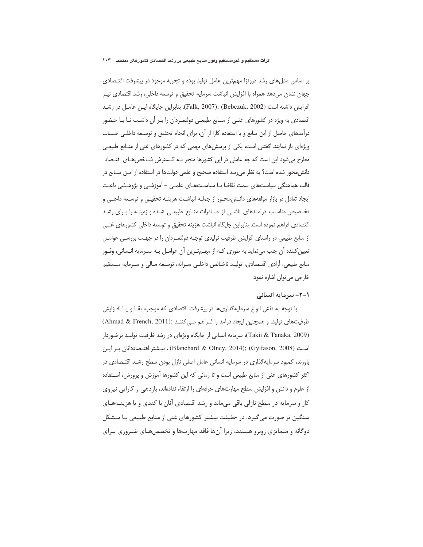بر اساس مدلهای رشد درونزا مهمترین عامل تولید بوده و تجربه موجود در پیشرفت اقتـصادی جهان نشان مىدهد همراه با افزايش انباشت سرمايه تحقيق و توسعه داخلي، رشد اقتصادى نيـز افزايش داشته است (Bebczuk, 2002); (Bebczuk, 2002). بنابراين جايگاه ايـن عامـل در رشـد اقتصادی به ویژه در کشورهای غنـی از منـابع طبیعـی دولتمـردان را بـر آن داشـت تـا بــا حـضور درآمدهای حاصل از این منابع و با استفاده کارا از آن، برای انجام تحقیق و توسـعه داخلـی حـساب ویژهای باز نمایند. گفتنی است، یکی از پرسشهای مهمی که در کشورهای غنی از منـابع طبیعـی مطرح میشود این است که چه عاملی در این کشورها منجر بـه گـسترش شـاخصهـای اقتـصاد دانش محور شده است؟ به نظر مى رسد استفاده صحيح و علمى دولتها در استفاده از ايـن منـابع در قالب هماهنگی سیاستهای سمت تقاضا بـا سیاسـتهـای علمـی – آموزشـی و پژوهـشی باعـث ایجاد تعادل در بازار مؤلفههای دانـش،حـور از جملـه انباشـت هزینـه تحقیـق و توسـعه داخلـی و تخـصيص مناسـب درآمـدهاى ناشـى از صـادرات منــابع طبيعـى شـده و زمينـه را بــراى رشــد اقتصادي فراهم نموده است. بنابراين جايگاه انباشت هزينه تحقيق و توسعه داخلي كشورهاي غنـي از منابع طبیعی در راستای افزایش ظرفیت تولیدی توجـه دولتمـردان را در جهـت بررسـی عوامـل تعيين كننده آن جلب مي نمايد به طوري كـه از مهــم تــرين آن عوامــل بــه ســرمايه انــساني، وفــور منابع طبيعي، آزادي اقتـصادي، توليـد ناخـالص داخلـي سـرانه، توسـعه مـالي و سـرمايه مـستقيم خارجي مي توان اشاره نمود.

#### **۱-۲- سرمایه انسانی**

با توجه به نقش انواع سرمایهگذاریها در پیشرفت اقتصادی که موجب، بقـا و یـا افــزایش ظرفیتهای تولید، و همچنین ایجاد درآمد را فـراهم مـی کننـد (Ahmad & French, 2011) (Takii & Tanaka, 2009)، سرمايه انساني از جايگاه ويژهاي در رشد ظرفيت توليـد برخـوردار است (Gylfason, 2008) . يــشتر اقتـصاددانان بـر ايـن (Blanchard & Olney, 2014); (Gylfason, 2008 باورند، کمبود سرمایهگذاری در سرمایه انسانی عامل اصلی نازل بودن سطح رشـد اقتـصادی در اکثر کشورهای غنی از منابع طبیعی است و تا زمانی که این کشورها آموزش و پرورش، اسـتفاده از علوم و دانش و افزایش سطح مهارتهای حرفهای را ارتقاء ندادهاند، بازدهی و کارایی نیروی کار و سرمایه در سطح نازلی باقی میماند و رشد اقتصادی آنان با کندی و یا هزینــههـای سنگین تر صورت می گیرد. در حقیقت بیشتر کشورهای غنی از منابع طبیعی بـا مـشکل دوگانه و متمایزی روبرو هستند، زیرا آنها فاقد مهارتها و تخصصهـای ضـروری بـرای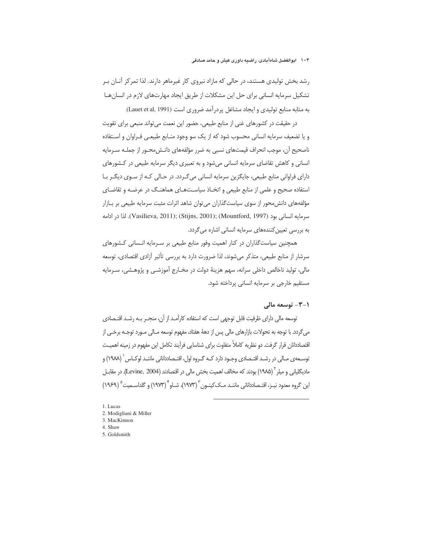رشد بخش تولیدی هستند، در حالی که مازاد نیروی کار غیرماهر دارند. لذا تمرکز آنـان بـر تشکیل سرمایه انسانی برای حل این مشکلات از طریق ایجاد مهارتهای لازم در انسانهـا به مثابه منابع تولیدی و ایجاد مشاغل پردرآمد ضروری است (Lauet et al, 1991).

در حقیقت در کشورهای غنی از منابع طبیعی، حضور این نعمت می تواند منبعی برای تقویت و یا تضعیف سرمایه انسانی محسوب شود که از یک سو وجود منـابع طبیعـی فـراوان و اسـتفاده ناصحیح آن، موجب انحراف قیمتهای نسبی به ضرر مؤلفههای دانـش،محـور از جملـه سـرمایه انسانی و کاهش تقاضای سرمایه انسانی میشود و به تعبیری دیگر سرمایه طبیعی در کشورهای دارای فراوانی منابع طبیعی، جایگزین سرمایه انسانی می گـردد. در حـالی کـه از سـوی دیگـر بـا استفاده صحیح و علمی از منابع طبیعی و اتخـاذ سیاسـتهـای هماهنـگ در عرضـه و تقاضـای مؤلفههای دانش،حور از سوی سیاستگذاران می توان شاهد اثرات مثبت سرمایه طبیعی بر بـازار سرمايه انساني بود (Vasilieva, 2011); (Stijns, 2001); (Mountford, 1997). لذا در ادامه به بررسی تعیین کنندههای سرمایه انسانی اشاره می گردد.

همچنین سیاست گذاران در کنار اهمیت وفور منابع طبیعی بر سـرمایه انـسانی کـشورهای سرشار از منابع طبیعی، متذکر می شوند، لذا ضرورت دارد به بررسی تأثیر آزادی اقتصادی، توسعه مالي، توليد ناخالص داخلي سرانه، سهم هزينة دولت در مخـارج آموزشـي و پژوهـشي، سـرمايه مستقیم خارجی بر سرمایه انسانی پرداخته شود.

#### ۰-۳- توسعه مالي

توسعه مالی دارای ظرفیت قابل توجهی است که استفاده کارآمـد از آن، منجـر بـه رشـد اقتـصادی مي گردد. با توجه به تحولات بازارهاي مالي پس از دههٔ هفتاد، مفهوم توسعه مـالي مـورد توجـه برخـي از اقتصاددانان قرار گرفت. دو نظریه کاملاً متفاوت برای شناسایی فرآیند تکامل این مفهوم در زمینه اهمیت توسـعهى مـالى در رشـد اقتـصادى وجـود دارد كـه گـروه اول، اقتـصاددانانى ماننـد لوكـاس ` (١٩٨٨) و مادیگلیانی و میلر <sup>۲</sup> (۱۹۸۵) بودند که مخالف اهمیت بخش مالی در اقتصادند (Levine, 2004). در مقابـل این گروه معدود نیـز، اقتـصاددانانی ماننـد مـک)کینـون (۱۹۷۳)، شـاو (۱۹۷۳) و گلداسـمیت ۱۹۶۹)

1. Lucas 2. Modigliani & Miller 3. MacKinnon

- 4. Shaw
- 5. Goldsmith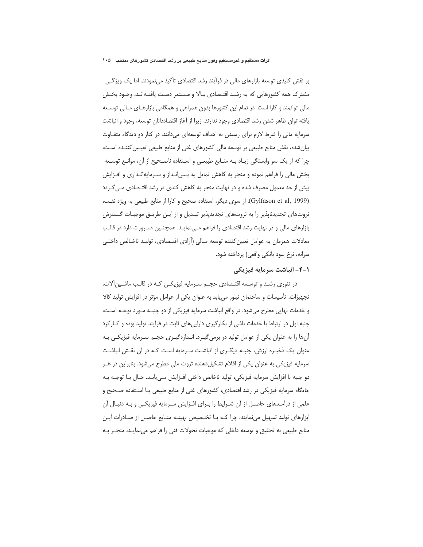بر نقش کلیدی توسعه بازارهای مالی در فرآیند رشد اقتصادی تأکید می نمودند. اما یک ویژگی مشترک همه کشورهایی که به رشـد اقتـصادی بـالا و مـستمر دسـت یافتـهانـد، وجـود بخـش مالی توانمند و کارا است. در تمام این کشورها بدون همراهی و همگامی بازارهـای مـالی توسـعه يافته توان ظاهر شدن رشد اقتصادى وجود ندارند، زيرا از آغاز اقتصاددانان توسعه، وجود و انباشت سرمایه مالی را شرط لازم برای رسیدن به اهداف توسعهای می دانند. در کنار دو دیدگاه متفـاوت بیان شده، نقش منابع طبیعی بر توسعه مالی کشورهای غنی از منابع طبیعی تعیـین کننـده اسـت، چرا که از یک سو وابستگی زیـاد بـه منـابع طبیعـی و اسـتفاده ناصـحیح از آن، موانـع توسـعه بخش مالی را فراهم نموده و منجر به کاهش تمایل به پـس|نـداز و سـرمایهگـذاری و افـزایش بیش از حد معمول مصرف شده و در نهایت منجر به کاهش کندی در رشد اقتـصادی مـی گـردد (Gylfason et al, 1999). از سوی دیگر، استفاده صحیح و کارا از منابع طبیعی به ویژه نفت، ثروتهای تجدیدناپذیر را به ثروتهای تجدیدیدیر تبـدیل و از ایـن طریـق موجبـات گـسترش بازارهای مالی و در نهایت رشد اقتصادی را فراهم مـیiمایـد. همچنـین ضـرورت دارد در قالـب معادلات همزمان به عوامل تعيين كننده توسعه مـالى (أزادى اقتـصادى، توليـد ناخـالص داخلـي سرانه، نرخ سود بانکی واقعی) پرداخته شود.

# 1-۴- انباشت سرمایه فیزیکی

در تئوری رشـد و توسـعه اقتـصادی حجـم سـرمایه فیزیکـی کـه در قالـب ماشـین آلات، تجهیزات، تأسیسات و ساختمان تبلور می یابد به عنوان یکی از عوامل مؤثر در افزایش تولید کالا و خدمات نهایی مطرح میشود. در واقع انباشت سرمایه فیزیکی از دو جنبـه مـورد توجـه اسـت، جنبه اول در ارتباط با خدمات ناشی از بکارگیری دارایی های ثابت در فرآیند تولید بوده و کـارکرد آنها را به عنوان یکی از عوامل تولید در برمیگیرد. انـدازهگیـری حجـم سـرمایه فیزیکـی بـه عنوان یک ذخیـره ارزش، جنبـه دیگـری از انباشـت سـرمایه اسـت کـه در آن نقـش انباشـت سرمایه فیزیکی به عنوان یکی از اقلام تشکیلدهنده ثروت ملی مطرح میشود. بنابراین در هـر دو جنبه با افزايش سرمايه فيزيكي، توليد ناخالص داخلي افـزايش مـي يابـد. حـال بــا توجــه بــه جایگاه سرمایه فیزیکی در رشد اقتصادی، کشورهای غنی از منابع طبیعی بـا اسـتفاده صـحیح و علمی از درآمـدهای حاصـل از آن شـرایط را بـرای افـزایش سـرمایه فیزیکـی و بـه دنبـال آن ابزارهای تولید تسهیل مینمایند، چرا کـه بـا تخـصیص بهینـه منـابع حاصـل از صـادرات ایـن منابع طبیعی به تحقیق و توسعه داخلی که موجبات تحولات فنی را فراهم مینمایـد، منجـر بـه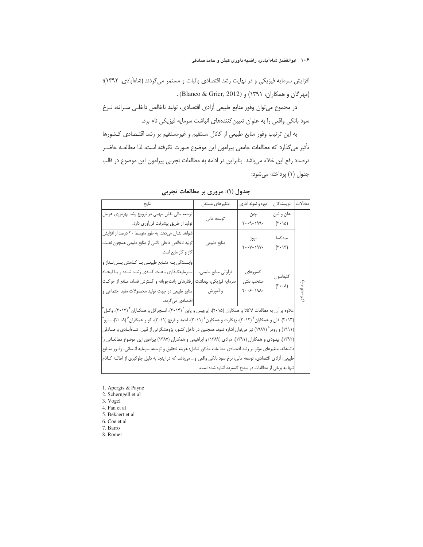افزایش سرمایه فیزیکی و در نهایت رشد اقتصادی باثبات و مستمر می گردند (شاهآبادی، ۱۳۹۲)؛ (مهركان و همكاران، ١٣٩١) و (Blanco & Grier, 2012).

در مجموع می توان وفور منابع طبیعی آزادی اقتصادی، تولید ناخالص داخلـی سـرانه، نـرخ سود بانکی واقعی را به عنوان تعیین کنندههای انباشت سرمایه فیزیکی نام برد.

به این ترتیب وفور منابع طبیعی از کانال مستقیم و غیرمستقیم بر رشد اقتـصادی کـشورها تأثیر می گذارد که مطالعات جامعی پیرامون این موضوع صورت نگرفته است، لذا مطالعـه حاضـر درصدد رفع این خلاء میباشد. بنابراین در ادامه به مطالعات تجربی پیرامون این موضوع در قالب جدول (۱) پرداخته میشود:

| نتاىج                                                                                                                            | متغيرهاي مستقل | دوره و نمونه آماری                                                    | نويسندگان                       | معادلات     |  |
|----------------------------------------------------------------------------------------------------------------------------------|----------------|-----------------------------------------------------------------------|---------------------------------|-------------|--|
| توسعه مالی نقش مهمی در ترویج رشد بهرهوری عوامل                                                                                   | توسعه مالي     | چين                                                                   | هان و شن                        |             |  |
| توليد از طريق پيشرفت فن أورى دارد.                                                                                               |                | $991 - 9 - 7$<br>$(\mathbf{Y}\boldsymbol{\cdot}\mathbf{1}\mathbf{Q})$ |                                 |             |  |
| شواهد نشان می دهد، به طور متوسط ٢٠ درصد از افزايش                                                                                |                |                                                                       | ميدكسا                          |             |  |
| تولید ناخالص داخلی ناشی از منابع طبیعی همچون نفت،                                                                                | منابع طبيعي    | نروژ<br>$Y \cdot Y - 19Y \cdot$                                       | $(\mathbf{Y} \cdot \mathbf{Y})$ |             |  |
| گاز و گاز مايع است.                                                                                                              |                |                                                                       |                                 |             |  |
| وابستگی بـه منـابع طبیعـی بـا کـاهش پــسانـداز و                                                                                 |                |                                                                       |                                 |             |  |
| فراوانی منابع طبیعی، ﴿ سرمایه گـذاری باعـث كنـدی رشـد شـده و بـا ایجـاد                                                          |                | كشورهاى                                                               |                                 |             |  |
| سرمایه فیزیکی، بهداشت <mark>ا</mark> رفتارهای رانتجویانه و گسترش فساد، مـانع از حرکـت                                            |                | منتخب نفتى                                                            | گليفاسون                        |             |  |
| منابع طبیعی در جهت تولید محصولات مفید اجتماعی و                                                                                  | و أموزش        | $Y \cdot .5 - 191 \cdot$                                              | $(\mathbf{r}\cdot\mathbf{v})$   | رشد اقتصادي |  |
| اقتصادی میگردد.                                                                                                                  |                |                                                                       |                                 |             |  |
| علاوه بر آن به مطالعات لاکاتا و همکاران (۲۰۱۵)، اپرچیس و پاین` (۲۰۱۴)، اسـچرگل و همکـاران <sup>۲</sup> (۲۰۱۳)، وگـل <sup>۳</sup> |                |                                                                       |                                 |             |  |
| (۲۰۱۳)، فان و همکاران ٔ (۲۰۱۲)، بهکارت و همکاران ۱/ ۲۰۱۱)، احمد و فرنچ (۲۰۱۱)، کو و همکاران ٔ (۲۰۰۸)، بـارو <sup>۷</sup>         |                |                                                                       |                                 |             |  |
| (۱۹۹۱) و رومر^ (۱۹۸۹) نیز می¤وان اشاره نمود، همچنین در داخل کشور، پژوهشگرانی از قبیل: شـاهآبـادی و صـادقی                        |                |                                                                       |                                 |             |  |
| (۱۳۹۲)، بهبودی و همکاران (۱۳۹۱)، مرادی (۱۳۸۹) و ابراهیمی و همکاران (۱۳۸۷) پیرامون این موضوع مطالعـاتی را                         |                |                                                                       |                                 |             |  |
| داشتهاند. متغیرهای مؤثر بر رشد اقتصادی مطالعات مذکور شامل: هزینه تحقیق و توسعه، سرمایه انـسانی، وفـور منـابع                     |                |                                                                       |                                 |             |  |
| طبیعی، آزادی اقتصادی، توسعه مالی، نرخ سود بانکی واقعی و… میباشد که در اینجا به دلیل جلوگیری از اطالـه کـلام                      |                |                                                                       |                                 |             |  |
| تنها به برخی از مطالعات در سطح گسترده اشاره شده است.                                                                             |                |                                                                       |                                 |             |  |

جدول (۱): مروری بر مطالعات تجربی

1. Apergis & Payne

2. Scherngell et al

3. Vogel

4. Fan et al

5. Bekaert et al

6. Coe et al

7. Barro

8. Romer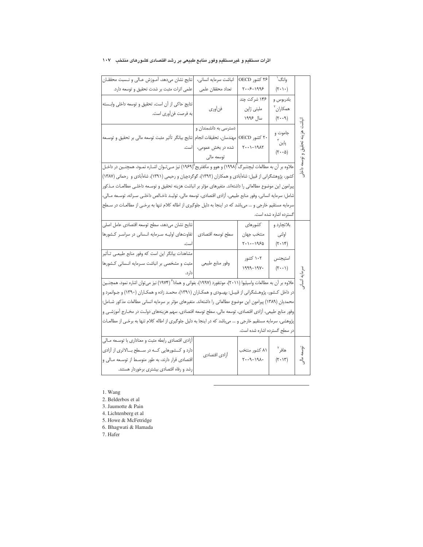| نتايج نشان مىدهد، آمـوزش عـالى و نـسبت محققـان                                                                                     | انباشت سرمايه انسانى،           | ۲۶ کشور OECD                                                 | وانگ ٰ                                                       |           |
|------------------------------------------------------------------------------------------------------------------------------------|---------------------------------|--------------------------------------------------------------|--------------------------------------------------------------|-----------|
| علمی اثرات مثبت بر شدت تحقیق و توسعه دارد.                                                                                         | تعداد محققان علمى               | $Y \cdot .5 - 1995$                                          | $(\mathbf{Y}\boldsymbol{\cdot}\mathbf{Y}\boldsymbol{\cdot})$ |           |
|                                                                                                                                    |                                 | ۱۴۶ شرکت چند                                                 | بلدربوس و                                                    |           |
| نتايج حاكى از آن است، تحقيق و توسعه داخلى وابــسته                                                                                 | فنأورى                          | ملیتی ژاپن                                                   | همكاران <sup>۲</sup>                                         |           |
| به فرصت فنأوري است.                                                                                                                |                                 | سال ۱۹۹۶                                                     | $(\mathbf{r}\cdot\mathbf{r})$                                | انباشت    |
|                                                                                                                                    | دسترسی به دانشمندان و           |                                                              |                                                              |           |
| مهندسان، تحقيقات انجام <mark>ا</mark> نتايج بيانگر تأثير مثبت توسعه مالى بر تحقيق و توسـعه                                         |                                 | ۲۰ کشور OECD                                                 | جاموت و                                                      |           |
|                                                                                                                                    | شده در بخش عمومی، <b>ا</b> است. | $\gamma \cdot \cdot \cdot \cdot \cdot \gamma$                | پاین ٌ                                                       |           |
|                                                                                                                                    | توسعه مالي                      |                                                              | $(\mathbf{r} \cdot \mathbf{a})$                              |           |
| علاوه بر آن به مطالعات لیچتنبرگ (۱۹۹۸) و هوو و مکفتریج <sup>۵</sup> (۱۹۶۹) نیز مـیتـوان اشـاره نمـود، همچنـین در داخـل             |                                 |                                                              |                                                              |           |
| کشور، پژوهشگرانی از قبیل: شاهآبادی و همکاران (۱۳۹۲)، گوگردچیان و رحیمی (۱۳۹۱)، شاهآبادی و  رحمانی (۱۳۸۷)                           |                                 |                                                              |                                                              | نے<br>پاک |
| پیرامون این موضوع مطالعاتی را داشتهاند. متغیرهای مؤثر بر انباشت هزینه تحقیق و توسـعه داخلـی مطالعـات مـذکور                        |                                 |                                                              |                                                              |           |
| شامل: سرمایه انسانی، وفور منابع طبیعی، آزادی اقتصادی، توسعه مالی، تولیـد ناخـالص داخلـی سـرانه، توسـعه مـالی،                      |                                 |                                                              |                                                              |           |
| سرمایه مستقیم خارجی و … می!شد که در اینجا به دلیل جلوگیری از اطاله کلام تنها به برخـی از مطالعـات در سـطح                          |                                 |                                                              |                                                              |           |
|                                                                                                                                    |                                 |                                                              | گسترده اشاره شده است.                                        |           |
| نتايح نشان مىدهد، سطح توسعه اقتصادى عامل اصلى                                                                                      |                                 | كشورهاى                                                      | بلاتچارد و                                                   |           |
| تفاوتهای اولیـه سـرمایه انـسانی در سراسـر كـشورها                                                                                  | سطح توسعه اقتصادى               | منتخب جهان                                                   | اولنى                                                        |           |
|                                                                                                                                    |                                 | $\mathcal{S}(\cdot \setminus \cdot - \setminus \mathcal{A})$ | $(\mathbf{Y} \cdot \mathbf{Y})$                              |           |
| مشاهدات بیانگر این است که وفور منابع طبیعـی تـأثیر                                                                                 |                                 | ۱۰۲ کشور                                                     |                                                              |           |
| مثبت و مشخصی بر انباشت سـرمایه انـسانی كـشورها                                                                                     | وفور منابع طبيعي                | $1999 - 191.$                                                | استيجنس<br>$(\mathbf{y} \cdot \cdot \mathbf{y})$             |           |
|                                                                                                                                    |                                 |                                                              |                                                              |           |
| علاوه بر آن به مطالعات واسیلیوا (۲۰۱۱)، مونتفورد (۱۹۹۷)، بغوانی و همادا <sup>۶</sup> (۱۹۷۴) نیز می $\vec{$ وان اشاره نمود، همچنـین |                                 |                                                              |                                                              |           |
| در داخل کـشور، پژوهـشگرانی از قبیـل: بهبـودی و همکـاران (۱۳۹۱)، محمـد زاده و همکـاران (۱۳۹۰) و جـوانمرد و                          |                                 |                                                              |                                                              |           |
| محمدیان (۱۳۸۹) پیرامون این موضوع مطالعاتی را داشتهاند. متغیرهای مؤثر بر سرمایه انسانی مطالعات مذکور شـامل:                         |                                 |                                                              |                                                              |           |
| وفور منابع طبیعی، آزادی اقتصادی، توسعه مالی، سطح توسعه اقتصادی، سهم هزینههای دولـت در مخـارج آموزشـی و                             |                                 |                                                              |                                                              |           |
| پژوهشی، سرمایه مستقیم خارجی و … میباشد که در اینجا به دلیل جلوگیری از اطاله کلام تنها به برخـی از مطالعــات                        |                                 |                                                              |                                                              |           |
|                                                                                                                                    |                                 | در سطح گسترده اشاره شده است.                                 |                                                              |           |
| أزادي اقتصادي رابطه مثبت و معناداري با توسـعه مـالي                                                                                |                                 |                                                              |                                                              |           |
| دارد و کــشورهایی کــه در ســطح بـــالاتری از آزادی                                                                                | أزادي اقتصادي                   | ۸۱ کشور منتخب                                                | هافر <sup>۷</sup>                                            | توسعه     |
| اقتصادی قرار دارند، به طور متوسط از توسـعه مـالی و                                                                                 |                                 | $\gamma \cdot (-\rho - \gamma)$                              | $(\mathbf{Y} \cdot \mathbf{Y})$                              | ್ರೆ       |
| رشد و رفاه اقتصادی بیشتری برخوردار هستند.                                                                                          |                                 |                                                              |                                                              |           |

#### اثرات مستقیم و غیرمستقیم وفور منابع طبیعی بر رشد اقتصادی کشورهای منتخب ۱۰۷

1. Wang

2. Belderbos et al

3. Jaumotte & Pain

4. Lichtenberg et al

5. Howe & McFetridge

6. Bhagwati & Hamada

7. Hafer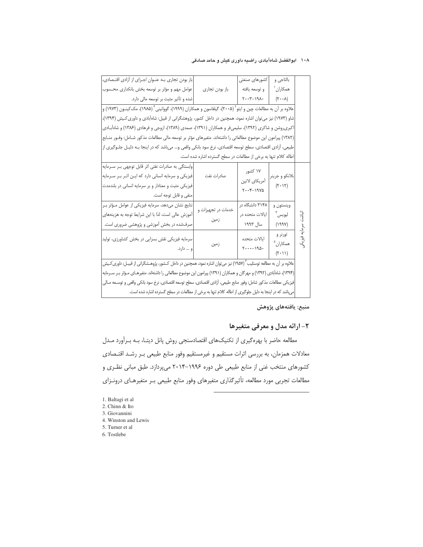#### ۱۰۸ ابوالفضل شاهآبادی، راضیه داوری کیش و حامد صادقی

| باز بودن تجاری به عنوان اجزای از آزادی اقتصادی،                                                                                                                                         |                                                                 | كشورهاى صنعتى                                                    | بالتاجي و                                                          |              |  |  |
|-----------------------------------------------------------------------------------------------------------------------------------------------------------------------------------------|-----------------------------------------------------------------|------------------------------------------------------------------|--------------------------------------------------------------------|--------------|--|--|
| عوامل مهم و مؤثر بر توسعه بخش بانکداری محسوب                                                                                                                                            | باز بودن تجارى                                                  | و توسعه يافته                                                    | همكاران `                                                          |              |  |  |
| شده و تأثیر مثبت بر توسعه مالی دارد.                                                                                                                                                    |                                                                 | $+ \lambda \rho / - 7 \cdot \cdot 7$                             | $(\mathbf{Y}\cdot\mathbf{Y})$                                      |              |  |  |
| علاوه بر آن به مطالعات چین و ایتو <sup>۲</sup> (۲۰۰۵)، گیلفاسون و همکاران (۱۹۹۹)، گووانینی <sup>۳</sup> (۱۹۸۵)، مک <i>ک</i> ینـون (۱۹۷۳) و                                              |                                                                 |                                                                  |                                                                    |              |  |  |
| شاو (۱۹۷۳) نیز می توان اشاره نمود، همچنین در داخل کشور، پژوهشگرانی از قبیل: شاهآبادی و داوری کـیش (۱۳۹۴)،                                                                               |                                                                 |                                                                  |                                                                    |              |  |  |
| اکبریروشن و شاکری (۱۳۹۲)، سلیمیفر و همکاران (۱۳۹۱)، صمدی (۱۳۸۹)، ازوجی و فرهادی (۱۳۸۶) و شاهآبـادی                                                                                      |                                                                 |                                                                  |                                                                    |              |  |  |
| (١٣٨٢) پیرامون این موضوع مطالعاتي را داشتهاند. متغیرهاي مؤثر بر توسعه مالي مطالعات مذكور شـامل: وفـور منــابع                                                                           |                                                                 |                                                                  |                                                                    |              |  |  |
| طبیعی، آزادی اقتصادی، سطح توسعه اقتصادی، نرخ سود بانکی واقعی و… میباشد که در اینجا بــه دلیـل جلــوگیری از                                                                              |                                                                 |                                                                  |                                                                    |              |  |  |
|                                                                                                                                                                                         | اطاله کلام تنها به برخی از مطالعات در سطح گسترده اشاره شده است. |                                                                  |                                                                    |              |  |  |
| وابستگی به صادرات نفتی اثر قابل توجهی بر سرمایه<br>فیزیکی و سرمایه انسانی دارد که ایـن اثـر بـر سـرمایه<br>فیزیکی مثبت و معنادار و بر سرمایه انسانی در بلندمدت<br>منفى و قابل توجه است. | صادرات نفت                                                      | ۱۷ کشور<br>أمريكاي لاتين<br>$Y \cdot Y - Y \cdot Y \cdot \Delta$ | بلانكو و جرينر<br>$(\mathbf{Y}\cdot\mathbf{Y})$                    |              |  |  |
| نتایج نشان میدهد، سرمایه فیزیکی از عوامل مـؤثر بـر<br>أموزش عالى است، لذا با اين شرايط توجه به هزينههاى<br>صرفشده در بخش آموزشی و پژوهشی ضروری است.                                     | خدمات در تجهیزات و<br>زمين                                      | ۳۱۴۸ دانشگاه در<br>ایالات متحده در<br>سال ۱۹۹۳                   | وينستون و<br>ليويس ِّ<br>(199Y)                                    | نباشت سرمايه |  |  |
| سرمایه فیزیکی نقش بسزایی در بخش کشاورزی، تولید<br>و … دارد.                                                                                                                             | زمين                                                            | ايالات متحده<br>$\gamma \cdots - \gamma \gamma$                  | تورنر و<br>همكاران <sup>۵</sup><br>$(\mathbf{Y} \cdot \mathbf{Y})$ | يون<br>پر    |  |  |
| علاوه بر آن به مطالعه توستلیب ۱۹۵۷٬) نیز میتوان اشاره نمود، همچنین در داخل کـشور، پژوهـشگرانی از قبیـل: داوری $\Sigma$ یش                                                               |                                                                 |                                                                  |                                                                    |              |  |  |
| (۱۳۹۴)، شاهآبادی (۱۳۹۲) و مهرگان و همکاران (۱۳۹۱) پیرامون این موضوع مطالعاتی را داشتهاند. متغیرهـای مـؤثر بـر سـرمایه                                                                   |                                                                 |                                                                  |                                                                    |              |  |  |
| فیزیکی مطالعات مذکور شامل: وفور منابع طبیعی، آزادی اقتصادی، سطح توسعه اقتصادی، نرخ سود بانکی واقعی و توسـعه مـالی                                                                       |                                                                 |                                                                  |                                                                    |              |  |  |
| میباشد که در اینجا به دلیل جلوگیری از اطاله کلام تنها به برخی از مطالعات در سطح گسترده اشاره شده است.                                                                                   |                                                                 |                                                                  |                                                                    |              |  |  |

## منبع: يافتههاي پژوهش

# ۲- ارائه مدل و معرفی متغیرها

مطالعه حاضر با بهرهگیری از تکنیکهای اقتصادسنجی روش پانل دیتـا، بـه بـراَورد مـدل معادلات همزمان، به بررسی اثرات مستقیم و غیرمستقیم وفور منابع طبیعی بـر رشـد اقتـصادی کشورهای منتخب غنی از منابع طبیعی طی دوره ۱۹۹۶–۲۰۱۴ میپردازد. طبق مبانی نظری و مطالعات تجربی مورد مطالعه، تأثیرگذاری متغیرهای وفور منابع طبیعی بـر متغیرهـای درونـزای

- 3. Giovannini
- 4. Winston and Lewis
- 5. Turner et al
- 6. Tostlebe

<sup>1.</sup> Baltagi et al

<sup>2.</sup> Chinn & Ito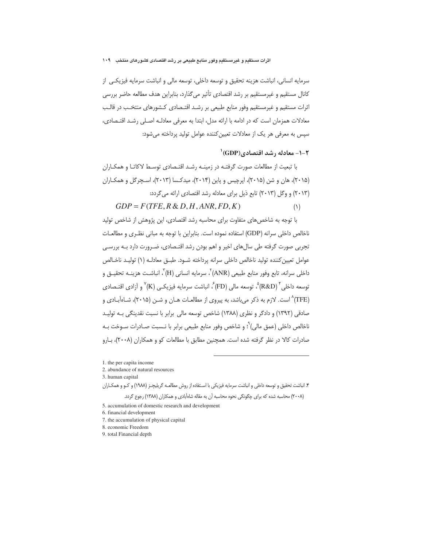سرمايه انساني، انباشت هزينه تحقيق و توسعه داخلي، توسعه مالي و انباشت سرمايه فيزيكي از كانال مستقيم و غيرمستقيم بر رشد اقتصادي تأثير مي گذارد، بنابراين هدف مطالعه حاضر بررسي اثرات مستقیم و غیرمستقیم وفور منابع طبیعی بر رشـد اقتـصادی کـشورهای منتخـب در قالـب معادلات همزمان است كه در ادامه با ارائه مدل، ابتدا به معرفی معادلـه اصـلی رشـد اقتـصادی، سیس به معرفی هر یک از معادلات تعیین کننده عوامل تولید پرداخته می شود:

# $\text{^{'}(GDP)}$ . معادله ، شد اقتصادی (GDP)

با تبعیت از مطالعات صورت گرفتـه در زمینـه رشـد اقتـصادی توسـط لاکاتـا و همکـاران (۲۰۱۵)، هان و شن (۲۰۱۵)، ایرچیس و پاین (۲۰۱۴)، میدکسا (۲۰۱۳)، اسـجرگل و همکـاران (۲۰۱۳) و وگل (۲۰۱۳) تابع ذیل برای معادله رشد اقتصادی ارائه می گردد:

 $GDP = F(TFE, R \& D, H, ANR, FD, K)$  $(1)$ 

با توجه به شاخص های متفاوت برای محاسبه رشد اقتصادی، این پژوهش از شاخص تولید ناخالص داخلی سرانه (GDP) استفاده نموده است. بنابراین با توجه به مبانی نظـری و مطالعـات تجربی صورت گرفته طی سالهای اخیر و اهم بودن رشد اقتـصادی، ضـرورت دارد بـه بررسـی عوامل تعيين كننده توليد ناخالص داخلي سرانه يرداخته شــود. طبــق معادلــه (١) توليــد ناخــالص داخلي سرانه، تابع وفور منابع طبيعي (ANR) ، سرمايه انساني (H) ، انباشـت هزينــه تحقيــق و توسعه داخلی (R&D)°، توسعه مالی (FD) ً، انباشت سرمایه فیزیکــی (K) ٌ و آزادی اقتــصادی (TFE)^ است. لازم به ذکر میباشد، به پیروی از مطالعـات هـان و شـن (۲۰۱۵)، شـاهآبـادی و صادقی (۱۳۹۲) و دادگر و نظری (۱۳۸۸) شاخص توسعه مالی برابر با نسبت نقدینگی بـه تولیـد ناخالص داخلي (عمق مالي)`ْ؛ و شاخص وفور منابع طبيعي برابر با نـسبت صـادرات سـوخت بـه صادرات کالا در نظر گرفته شده است. همچنین مطابق با مطالعات کو و همکاران (۲۰۰۸)، بـارو

1. the per capita income

2. abundance of natural resources

3. human capital

۴. انباشت تحقیق و توسعه داخلی و انباشت سرمایه فیزیکی با اسـتفاده از روش مطالعـه گریلیچـز (۱۹۸۸) و کـو و همکـاران (۲۰۰۸) محاسبه شده که برای چگونگی نحوه محاسبه آن به مقاله شاهآبادی و همکاران (۱۳۸۸) رجوع گردد.

5. accumulation of domestic research and development

- 6. financial development
- 7. the accumulation of physical capital

8. economic Freedom

9. total Financial depth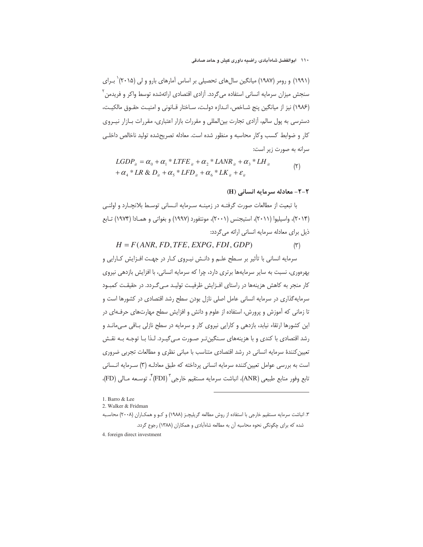(۱۹۹۱) و رومر (۱۹۸۷) میانگین سال های تحصیلی بر اساس آمارهای بارو و لی (۲۰۱۵)<sup>٬</sup> بـرای ِ سنجش میزان سرمایه انسانی استفاده می¢ردد. آزادی اقتصادی ارائهشده توسط واکر و فریدمن *'* (١٩٨۶) نيز از ميانگين پنج شـاخص، انـدازه دولـت، سـاختار قـانوني و امنيـت حقـوق مالكيـت، دسترسی به پول سالم، آزادی تجارت بینالمللی و مقررات بازار اعتباری، مقررات بـازار نیــروی كار و ضوابط كسب وكار محاسبه و منظور شده است. معادله تصريحشده توليد ناخالص داخلي سرانه به صورت زیر است:

$$
LGDP_{ii} = \alpha_0 + \alpha_1 * LTE_{ii} + \alpha_2 * LANR_{ii} + \alpha_3 * LH_{ii}
$$
  
+  $\alpha_4 * LR \& D_{ii} + \alpha_5 * LFD_{ii} + \alpha_6 * LK_{ii} + \varepsilon_i$  (7)

**٢-٢- معادله سرمايه انساني (H)** 

با تبعیت از مطالعات صورت گرفتـه در زمینـه سـرمایه انـسانی توسـط بلانچـارد و اولنـی (۲۰۱۴)، واسیلیوا (۲۰۱۱)، استیجنس (۲۰۰۱)، مونتفورد (۱۹۹۷) و بغواتی و همـادا (۱۹۷۴) تـابع ذیل برای معادله سرمایه انسانی ارائه می گردد:

 $H = F(ANR, FD, TFE, EXPG, FDI, GDP)$  $(\tilde{v})$ 

سرمایه انسانی با تأثیر بر سـطح علـم و دانـش نیـروی کـار در جهـت افـزایش کـارایی و بهرهوری، نسبت به سایر سرمایهها برتری دارد، چرا که سرمایه انسانی، با افزایش بازدهی نیروی کار منجر به کاهش هزینهها در راستای افـزایش ظرفیـت تولیـد مـی گـردد. در حقیقـت کمبـود سرمایه گذاری در سرمایه انسانی عامل اصلی نازل بودن سطح رشد اقتصادی در کشورها است و تا زمانی که آموزش و پرورش، استفاده از علوم و دانش و افزایش سطح مهارتهای حرفـهای در این کشورها ارتقاء نیابد، بازدهی و کارایی نیروی کار و سرمایه در سطح نازلی باقی مـیمانـد و رشد اقتصادی با کندی و با هزینههای سـنگین تـر صـورت مـی گیـرد. لـذا بـا توجـه بـه نقـش تعیین کنندهٔ سرمایه انسانی در رشد اقتصادی متناسب با مبانی نظری و مطالعات تجربی ضروری است به بررسی عوامل تعیین کننده سرمایه انسانی پرداخته که طبق معادلـه (۳) سـرمایه انـسانی تابع وفور منابع طبيعي (ANR)، انباشت سرمايه مستقيم خارجي " (FDI) ٌ، توسـعه مـالي (FD)،

<sup>1.</sup> Barro & Lee

<sup>2.</sup> Walker & Fridman

۳. انباشت سرمایه مستقیم خارجی با استفاده از روش مطالعه گریلیچـز (۱۹۸۸) و کــو و همکــاران (۲۰۰۸) محاسـبه شده که برای چگونگی نحوه محاسبه آن به مطالعه شاهآبادی و همکاران (۱۳۸۸) رجوع گردد.

<sup>4.</sup> foreign direct investment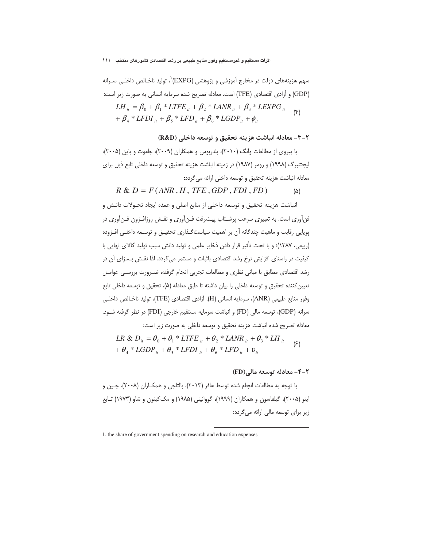#### اثرات مستقيم و غيرمستقيم وفور منابع طبيعي بر رشد اقتصادي كشورهاي منتخب اللل

سهم هزینههای دولت در مخارج آموزشی و پژوهشی (EXPG)`، تولید ناخـالص داخلـی سـرانه (GDP) و آزادی اقتصادی (TFE) است. معادله تصریح شده سرمایه انسانی به صورت زیر است:

$$
LH_{it} = \beta_0 + \beta_1 * LTE_{it} + \beta_2 * LANR_{it} + \beta_3 * LEXPG_{it} + \beta_4 * LFDI_{it} + \beta_5 * LFD_{it} + \beta_6 * LGDP_{it} + \phi_{it}
$$
 (\*)

### ۲-۳- معادله انباشت هزينه تحقيق و توسعه داخلي (R&D)

با پیروی از مطالعات وانگ (۲۰۱۰)، بلدربوس و همکاران (۲۰۰۹)، جاموت و پاین (۲۰۰۵)، ليچتنبرگ (١٩٩٨) و رومر (١٩٨٧) در زمينه انباشت هزينه تحقيق و توسعه داخلي تابع ذيل براي معادله انباشت هزينه تحقيق و توسعه داخلي ارائه مي گردد:

$$
R & D = F(\text{ANR}, H, \text{TFE}, \text{GDP}, \text{FDI}, \text{FD}) \tag{a}
$$

انباشت هزينه تحقيق و توسعه داخلي از منابع اصلي و عمده ايجاد تحـولات دانـش و فنآوری است. به تعبیری سرعت پرشـتاب پیـشرفت فـنآوری و نقـش روزافـزون فـنآوری در یویایی رقابت و ماهیت چندگانه آن بر اهمیت سیاست گـذاری تحقیـق و توسـعه داخلـی افـزوده (ربیعی، ۱۳۸۷)؛ و با تحت تأثیر قرار دادن ذخایر علمی و تولید دانش سبب تولید کالای نهایی با کیفیت در راستای افزایش نرخ رشد اقتصادی باثبات و مستمر می گردد. لذا نقـش بـسزای آن در رشد اقتصادی مطابق با مبانی نظری و مطالعات تجربی انجام گرفته، ضـرورت بررسـی عوامـل تعیین کننده تحقیق و توسعه داخلی را بیان داشته تا طبق معادله (۵)، تحقیق و توسعه داخلی تابع وفور منابع طبيعي (ANR)، سرمايه انساني (H)، آزادي اقتصادي (TFE)، توليد ناخـالص داخلـي سرانه (GDP)، توسعه مالي (FD) و انباشت سرمايه مستقيم خارجي (FDI) در نظر گرفته شـود. معادله تصريح شده انباشت هزينه تحقيق و توسعه داخلي به صورت زير است:

$$
LR & D_{ii} = \theta_0 + \theta_1 * LTE_{ii} + \theta_2 * LANR_{ii} + \theta_3 * LH_{ii}
$$
\n
$$
+ \theta_4 * LGDP_{ii} + \theta_5 * LFD_{ii} + \theta_6 * LFD_{ii} + \nu_{ii}
$$
\n
$$
(5)
$$

#### **4-۲- معادله توسعه مالي(FD)**

1. the share of government spending on research and education expenses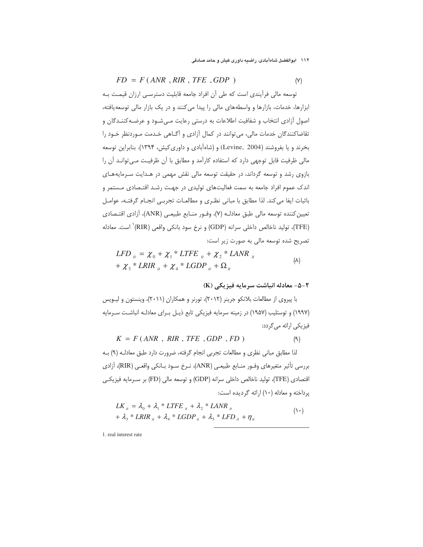$FD = F(ANR, RIR, TFE, GDP)$ 

توسعه مالی فرآیندی است که طی آن افراد جامعه قابلیت دسترسـی ارزان قیمـت بـه ابزارها، خدمات، بازارها و واسطههای مالی را پیدا می کنند و در یک بازار مالی توسعه یافته، اصول أزادي انتخاب و شفافيت اطلاعات به درستي رعايت مـيشـود و عرضـه كننـدگان و تقاضاکنندگان خدمات مالی، می توانند در کمال آزادی و آگـاهی خـدمت مـوردنظر خـود را بخرند و یا بفروشند (Levine, 2004) و (شاهآبادی و داوری کیش، ۱۳۹۴). بنابراین توسعه مالی ظرفیت قابل توجهی دارد که استفاده کارآمد و مطابق با آن ظرفیـت مـی توانـد آن را بازوی رشد و توسعه گرداند، در حقیقت توسعه مالی نقش مهمی در هـدایت سـرمایههـای اندک عموم افراد جامعه به سمت فعالیتهای تولیدی در جهت رشـد اقتـصادی مـستمر و باثبات ايفا مي كند. لذا مطابق با مباني نظري و مطالعات تجربـي انجـام گرفتـه، عوامـل تعیین کننده توسعه مالی طبق معادلـه (۷)، وفـور منـابع طبیعـی (ANR)، آزادی اقتـصادی (TFE)، تولید ناخالص داخلی سرانه (GDP) و نرخ سود بانکی واقعی (RIR)` است. معادله تصریح شده توسعه مالی به صورت زیر است:

$$
LFD_{it} = \chi_0 + {\chi_1}^* LTE_{it} + {\chi_2}^*LANR_{it}
$$
  
+  $\chi_3$  \* LRIR<sub>it</sub> +  $\chi_4$  \* LGDP<sub>it</sub> +  $\Omega_{it}$  (A)

# X-۵- معادله انباشت سرمایه فیزیکی (K)

با پیروی از مطالعات بلانکو جرینر (۲۰۱۲)، تورنر و همکاران (۲۰۱۱)، وینستون و لیـویس (۱۹۹۷) و توستلیب (۱۹۵۷) در زمینه سرمایه فیزیکی تابع ذیـل بـرای معادلـه انباشـت سـرمایه فیزیکی ارائه می گردد:

$$
K = F(ANR, RIR, TFE, GDP, FD)
$$
 (9)

لذا مطابق مباني نظري و مطالعات تجربي انجام گرفته، ضرورت دارد طبق معادلـه (٩) بـه بررسي تأثير متغيرهاي وفــور منــابع طبيعــي (ANR)، نــرخ ســود بــانكي واقعــي (RIR)، آزادي اقتصادی (TFE)، تولید ناخالص داخلی سرانه (GDP) و توسعه مالی (FD) بر سـرمایه فیزیکـی یرداخته و معادله (١٠) ارائه گردیده است:

$$
LK_{ii} = \lambda_0 + \lambda_1 * LTE_{ii} + \lambda_2 * LANR_{ii}
$$
  
+  $\lambda_3 * LRIR_{ii} + \lambda_4 * LGDP_{ii} + \lambda_5 * LFD_{ii} + \eta_{ii}$  (1)

1. real interest rate

 $(Y)$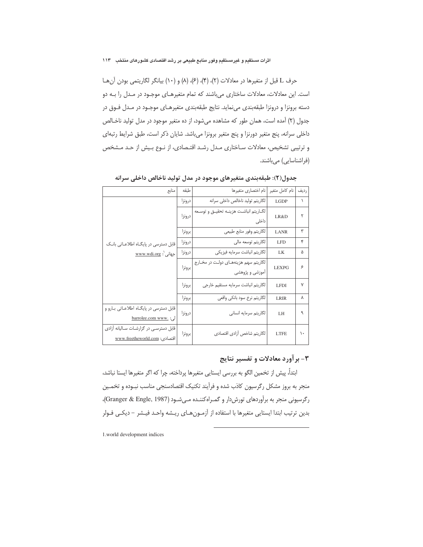حرف L قبل از متغیرها در معادلات (٢)، (۴)، (۶)، (۸) و (١٠) بیانگر لگاریتمی بودن آن ها است. این معادلات، معادلات ساختاری می باشند که تمام متغیرهای موجود در مدل را به دو دسته برونزا و درونزا طبقهبندی مینماید. نتایج طبقهبندی متغیرهـای موجـود در مـدل فـوق در جدول (۲) آمده است، همان طور که مشاهده میشود، از ده متغیر موجود در مدل تولید ناخـالص داخلی سرانه، پنج متغیر دورنزا و پنج متغیر برونزا می باشد. شایان ذکر است، طبق شرایط رتبهای و ترتیبی تشخیص، معادلات ساختاری مدل رشد اقتـصادی، از نـوع بـیش از حـد مـشخص (فراشناسایی) میباشند.

| منابع                                   | طبقه   | نام اختصاري متغيرها                       | نام كامل متغير | رديف |
|-----------------------------------------|--------|-------------------------------------------|----------------|------|
|                                         | درونزا | لگاريتم توليد ناخالص داخلي سرانه          | <b>LGDP</b>    | ١    |
|                                         | درونزا | لگـاريتم انباشـت هزينــه تحقيــق و توسـعه | LR&D           | ۲    |
|                                         |        | داخلی                                     |                |      |
|                                         | برونزا | لگاريتم وفور منابع طبيعي                  | <b>LANR</b>    | ٣    |
| قابل دسترسی در پایگاه اطلاعاتی بانک     | درونزا | لگاريتم توسعه مالي                        | LFD            | ۴    |
| جهانی <sup>:</sup> : <u>www.wdi.org</u> | درونزا | لگاريتم انباشت سرمايه فيزيكى              | LK             | ۵    |
|                                         | برونزا | لگاریتم سهم هزینههـای دولـت در مخـارج     | LEXPG          | ۶    |
|                                         |        | آموزشی و پژوهشی                           |                |      |
|                                         | برونزا | لگاريتم انباشت سرمايه مستقيم خارجى        | <b>LFDI</b>    | ٧    |
|                                         | برونزا | لگاريتم نرخ سود بانكي واقعي               | <b>LRIR</b>    | λ    |
| قابل دسترسی در پایگاه اطلاعاتی بارو و   | درونزا | لگاريتم سرمايه انساني                     | LH <sub></sub> | ٩    |
| لى: .barrolee.com www                   |        |                                           |                |      |
| قابل دسترسی در گزارشات سالیانه آزادی    | برونزا | لگاريتم شاخص أزادي اقتصادي                | <b>LTFE</b>    | ۱۰   |
| اقتصادى: www.freetheworld.com           |        |                                           |                |      |

جدول(۲): طبقهبندی متغیرهای موجود در مدل تولید ناخالص داخلی سرانه

# ۳- برآورد معادلات و تفسیر نتایج

ابتداً، ييش از تخمين الگو به بررسي ايستايي متغيرها يرداخته، چرا كه اگر متغيرها ايستا نباشد، منجر به بروز مشکل رگرسیون کاذب شده و فرآیند تکنیک اقتصادسنجی مناسب نبـوده و تخمـین رگرسیونی منجر به برآوردهای تورش دار و گمراه کننـده مـی شـود (Granger & Engle, 1987)، بدين ترتيب ابتدا ايستايي متغيرها با استفاده از آزمـونهـاي ريـشه واحـد فيـشر – ديكـي فـولر

1.world development indices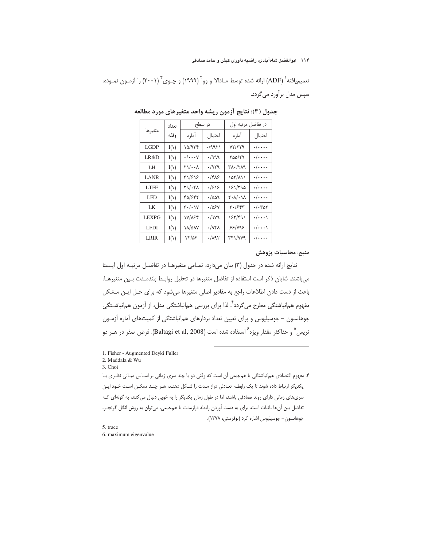تعمیمیافته` (ADF) ارائه شده توسط مـادالا و وو<sup>۲</sup> (۱۹۹۹) و چـوی<sup>۳</sup> (۲۰۰۱) را آزمـون نمـوده، سیس مدل برآورد می گردد.

|              | تعداد |                                       | در سطح             | در تفاضل مرتبه اول              |                         |
|--------------|-------|---------------------------------------|--------------------|---------------------------------|-------------------------|
| متغيرها      | وقفه  | اماره                                 | احتمال             | أماره                           | احتمال                  |
| LGDP         | I(1)  | ۱۵/۹۳۴                                | ۰/۹۹۲۱             | YY/YYQ                          | $\cdot/\cdot\cdot\cdot$ |
| LR&D         | I(1)  | $\cdot/\! \cdots$ Y                   | ./999              | ۲۵۵/۲۹                          | $\cdot/\cdot\cdot\cdot$ |
| LH           | I(1)  | 71/00X                                | 7۹۲۹.              | ۳۸۰/۲۸۹                         | $\cdot/\cdot\cdot\cdot$ |
| <b>LANR</b>  | I(1)  | ۳۱/۶۱۶                                | ۱۴۸۶               | 141/111                         | $\cdot/\cdots$          |
| <b>LTFE</b>  | I(1)  | $Y9/\cdot YA$                         | ۱۶۱۶               | ۱۶۱/۳۹۵                         | $\cdot/\cdot\cdot\cdot$ |
| LFD          | I(1)  | 42/642                                | ۱۵۵۹.              | $k \cdot \gamma / \cdot \gamma$ | $\cdot/\cdots$          |
| LK           | I(1)  | $\mathbf{r} \cdot / \cdot \mathbf{v}$ | ۰/۵۶۷              | ۳۰/۶۴۳                          | $\cdot/\cdot\tau$ ar    |
| <b>LEXPG</b> | I(1)  | ۱۷/۸۶۴                                | ./979              | 182/491                         | $\cdot/\cdots$          |
| <b>LFDI</b>  | I(1)  | ۱۸/۵۸۷                                | ۱۹۴۸.              | ۶۶/۷۹۶                          | $\cdot/\cdots$          |
| LRIR         | I(1)  | $YY/\Delta f$                         | $\cdot/\lambda$ 95 |                                 | $\cdot/\cdots$          |

جدول (٣): نتايج آزمون ريشه واحد متغيرهاي مورد مطالعه

منبع: محاسبات پژوهش

نتایج ارائه شده در جدول (۳) بیان میدارد، تمـامی متغیرهـا در تفاضـل مرتبـه اول ایـستا می باشند. شایان ذکر است استفاده از تفاضل متغیرها در تحلیل روابـط بلندمـدت بـین متغیرهـا، باعث از دست دادن اطلاعات راجع به مقادير اصلى متغيرها مى شود كه براى حل اين مشكل مفهوم هم|نباشتگی مطرح میگردد ٔ. لذا برای بررسی هم|نباشتگی مدل، از اَزمون هم|نباشـتگی جوهانسون – جوسیلیوس و برای تعیین تعداد بردارهای همانباشتگی از کمیتهای آماره آزمـون تريس ؓ و حداكثر مقدار ويژه ٌ استفاده شده است (Baltagi et al, 2008). فرض صفر در هــر دو

1. Fisher - Augmented Deyki Fuller

2. Maddala & Wu

3. Choi

۴. مفهوم اقتصادی همانباشتگی یا همجمعی آن است که وقتی دو یا چند سری زمانی بر اسـاس مبـانی نظـری بـا یکدیگر ارتباط داده شوند تا یک رابطـه تعـادلی دراز مـدت را شـکل دهنـد، هـر چنـد ممکـن اسـت خـود ایـن سریهای زمانی دارای روند تصادفی باشند، اما در طول زمان یکدیگر را به خوبی دنبال می کنند، به گونهای کـه تفاضل بین آنها باثبات است. برای به دست آوردن رابطه درازمدت یا همجمعی، میتوان به روش انگل گرنجـر، جوهانسون- جوسیلیوس اشاره کرد (نوفرستی، ١٣٧٨).

5. trace 6. maximum eigenvalue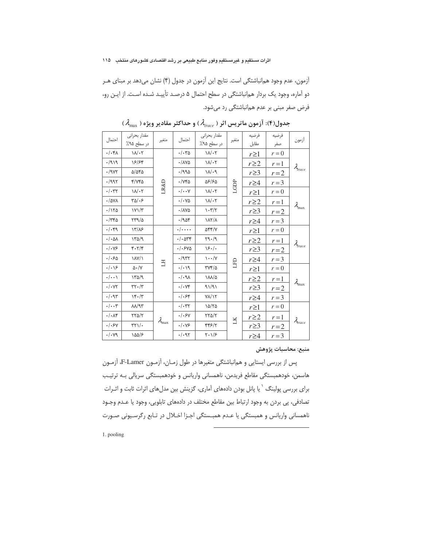آزمون، عدم وجود هم|نباشتگی است. نتایج این آزمون در جدول (۴) نشان میدهد بر مبنای هـر دو آماره، وجود یک بردار همانباشتگی در سطح احتمال ۵ درصد تأییـد شـده اسـت. از ایـن رو، فرض صفر مبنی بر عدم همانباشتگی رد میشود.

| احتمال                       | مقدار بحراني<br>در سطح ۹۵٪                  | متغير                  | احتمال                                                 | مقدار بحرانى<br>در سطح ۹۵٪         | متغير               | فرضيه<br>مقابل | فرضيه<br>صفر | آزمون               |
|------------------------------|---------------------------------------------|------------------------|--------------------------------------------------------|------------------------------------|---------------------|----------------|--------------|---------------------|
| .44.1                        | $1/\lambda$                                 |                        | $\cdot/\cdot r_0$                                      | $\lambda/\lambda/\sqrt{2}$         |                     | $r \geq 1$     | $r = 0$      |                     |
| .919.                        | 18/84                                       |                        | $\cdot$ / $\Lambda$ Ya                                 | $1/\sqrt{1+\gamma}$                |                     | $r \geq 2$     | $r=1$        |                     |
| $\cdot$ /987                 | $\Delta/\Delta$ ۴۵                          |                        | 4/990                                                  | $\Lambda/\eta$                     |                     | $r \geq 3$     | $r=2$        | $\lambda_{trace}$   |
| .7997                        | $Y/YY$ ۵                                    |                        | $\cdot$ / $\vee\uparrow\vartriangle$                   | 58/65                              |                     | $r \geq 4$     | $r = 3$      |                     |
| $\cdot/\cdot$ ۳۲             | $1/\sqrt{1}$                                | LR&D                   | $\cdot/\cdot\cdot$ Y                                   | $1/\sqrt{1+\gamma}$                | LGDP                | $r \geq 1$     | $r = 0$      |                     |
| $\cdot$ /۵۷۸                 | $\sqrt{2}$                                  |                        | $\cdot/\cdot\mathrm{VA}$                               | $1/\sqrt{1+\gamma}$                |                     | $r \geq 2$     | $r=1$        |                     |
| $\cdot$ /170                 | $YY/\tilde{Y}$                              |                        | $\cdot / \lambda \mathrm{V} \Delta$                    | $\mathcal{N}(\mathcal{K})$         |                     | $r \geq 3$     | $r = 2$      | $\lambda_{\rm max}$ |
| $\cdot$ /٣۴۵                 | YY9/2                                       |                        | $-190f$                                                | $\lambda$                          |                     | $r \geq 4$     | $r = 3$      |                     |
| $\cdot/\cdot$ ۴۹             | Y/N                                         |                        | $\cdot/\cdots$                                         | $\Delta \mathcal{F} \mathcal{F}/V$ |                     | $r \geq 1$     | $r = 0$      |                     |
| $\cdot/\cdot \Delta \Lambda$ | 140/9                                       |                        | $\cdot/\cdot$ arr                                      | Y9.49                              |                     | $r \geq 2$     | $r=1$        |                     |
| $\cdot/\cdot\vee$ ۶          | 4.7/5                                       |                        | . / .540                                               | $\frac{5}{2}$                      |                     | $r \geq 3$     | $r = 2$      | $\lambda_{trace}$   |
| .1.50                        | $\lambda$ $\lambda$ $\lambda$ $\lambda$     | H                      | $\cdot$ /957                                           | $\cdots/\gamma$                    |                     | $r \geq 4$     | $r = 3$      |                     |
| $\cdot/\cdot$ $\sqrt{5}$     | $\Delta \cdot /V$                           |                        | .4.1                                                   | $\frac{1}{2}$                      | EED                 | $r \geq 1$     | $r = 0$      |                     |
| $\cdot/\cdot\cdot$           | 140/9                                       |                        | $\lambda\rho\,\boldsymbol{\cdot}\,/\boldsymbol{\cdot}$ | $\lambda\lambda/\Delta$            |                     | $r \geq 2$     | $r=1$        |                     |
| $\cdot$ / $\cdot$ YY         | $\mathbf{y} \cdot \mathbf{y}$               |                        | $\cdot/\cdot \vee \mathfrak{r}$                        | 91/91                              |                     | $r \geq 3$     | $r = 2$      | $\lambda_{\max}$    |
| .44                          | $Y^{\epsilon} \cdot / \tilde{Y}$            |                        | $.  .$ ۶۴                                              | $Y/\sqrt{Y}$                       |                     | $r \geq 4$     | $r = 3$      |                     |
| $\cdot/\cdot\cdot$ ۳         | $\lambda\lambda$ /9٣                        |                        | $\cdot/\cdot$ ۳۲                                       | 10/70                              |                     | $r \geq 1$     | $r = 0$      |                     |
| $\cdot/\cdot\Lambda$ ۴       | $YY\Delta/Y$                                |                        | .1.5v                                                  | $YY\Delta/Y$                       |                     | $r \geq 2$     | $r=1$        |                     |
| . / . 5V                     | $\mathsf{r}\mathsf{r}\mathsf{v}/\mathsf{f}$ | $\lambda_{\text{max}}$ | $\cdot/\cdot\vee$ ۶                                    | 448/4                              | $\overline{\rm LK}$ | $r \geq 3$     | $r = 2$      | $\lambda_{trace}$   |
| $\cdot/\cdot$ yq             | $\lambda \Delta \Delta / 8$                 |                        | .44                                                    | $Y \cdot 1/S$                      |                     | $r \geq 4$     | $r = 3$      |                     |

 $(\lambda_{\max}^+)$ جدول(۴): آزمون ماتریس اثر (  $\lambda_{\mathit{trace}}$  ) و حداکثر مقادیر ویژه

منبع: محاسبات پژوهش

يس از بررسي ايستايي و همانباشتگي متغيرها در طول زمـان، آزمـون F-Lamer، آزمـون هاسمن، خودهمبستگی مقاطع فریدمن، ناهمسانی واریانس و خودهمبستگی سریالی بـه ترتیـب برای بررسی پولینگ <sup>۱</sup> یا پانل بودن دادههای آماری، گزینش بین مدلهای اثرات ثابت و اثــرات تصادفی، پی بردن به وجود ارتباط بین مقاطع مختلف در دادههای تابلویی، وجود یا عـدم وجـود ناهمسانی واریانس و همبستگی یا عـدم همبـستگی اجـزا اخـلال در تـابع رگرسـیونی صـورت -

1. pooling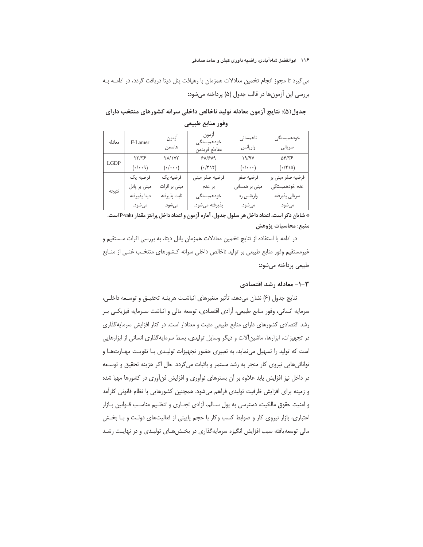#### ۱۱۶ ابوالفضل شاهآبادی، راضیه داوری کیش و حامد صادقی

می گیرد تا مجوز انجام تخمین معادلات همزمان با رهیافت پنل دیتا دریافت گردد، در ادامـه بـه بررسی این آزمونها در قالب جدول (۵) پرداخته می شود:

# جدول(۵): نتایج آزمون معادله تولید ناخالص داخلی سرانه کشورهای منتخب دارای

| معادله | F-Lamer      | ازمون<br>آزمون<br>خودهمبستگى<br>هاسمن<br>مقاطع فريدمن |                       | ناھمسانی<br>واريانس       | خودهمبستگى<br>سريالي |
|--------|--------------|-------------------------------------------------------|-----------------------|---------------------------|----------------------|
|        | ۲۳/۳۶        | <b>TA/1VT</b>                                         | $P\Lambda/P\Lambda$ 9 | 19/9V                     | $\Delta f/\gamma$    |
| LGDP   | (1.1)        | $(\cdot/\cdot\cdot\cdot)$                             | $(1/\tau)\tau)$       | $(\cdot/\cdot\cdot\cdot)$ | (1710)               |
|        | فرضيه يک     | فرضيه يک                                              | فرضيه صفر مبنى        | فرضيه صفر                 | فرضيه صفر مبنى بر    |
| نتيجه  | مبنی بر پانل | مبنی بر اثرات                                         | بر عدم                | مبنی بر همسانی            | عدم خودهمبستگى       |
|        | ديتا پذيرفته | ثابت پذيرفته                                          | خودهمبستگى            | واریانس رد                | سريالي پذيرفته       |
|        | مىشود.       | مىشود.                                                | پذيرفته مي شود.       | مىشود.                    | مىشود.               |

وفور منابع طبيعي

\* شايان ذكر است، اعداد داخل هر سلول جدول، آماره آزمون و اعداد داخل پرانتز مقدار P-valu است. منبع: محاسبات پژوهش

در ادامه با استفاده از نتایج تخمین معادلات همزمان پانل دیتا، به بررسی اثرات مـستقیم و غیرمستقیم وفور منابع طبیعی بر تولید ناخالص داخلی سرانه کـشورهای متتخـب غنـی از منـابع طبیعی پرداخته می شود:

#### ۰-۲- معادله رشد اقتصادی

نتايج جدول (۶) نشان مى دهد، تأثير متغيرهاى انباشت هزينـه تحقيـق و توسـعه داخلـى، سرمايه انساني، وفور منابع طبيعي، آزادي اقتصادي، توسعه مالي و انباشت سـرمايه فيزيكـي بـر رشد اقتصادی کشورهای دارای منابع طبیعی مثبت و معنادار است. در کنار افزایش سرمایهگذاری در تجهیزات، ابزارها، ماشین آلات و دیگر وسایل تولیدی، بسط سرمایه گذاری انسانی از ابزارهایی است که تولید را تسهیل مینماید، به تعبیری حضور تجهیزات تولیـدی بـا تقویـت مهـارتهـا و توانائی هایی نیروی کار منجر به رشد مستمر و باثبات می گردد. حال اگر هزینه تحقیق و توسعه در داخل نیز افزایش یابد علاوه بر آن بسترهای نوآوری و افزایش فنآوری در کشورها مهیا شده و زمینه برای افزایش ظرفیت تولیدی فراهم میشود. همچنین کشورهایی با نظام قانونی کارآمد و امنیت حقوق مالکیت، دسترسی به پول سالم، آزادی تجاری و تنظیم مناسب قـوانین بـازار اعتباری، بازار نیروی کار و ضوابط کسب وکار با حجم پایینی از فعالیتهای دولت و بـا بخش مالی توسعه یافته سبب افزایش انگیزه سرمایهگذاری در بخشهای تولیدی و در نهایت رشد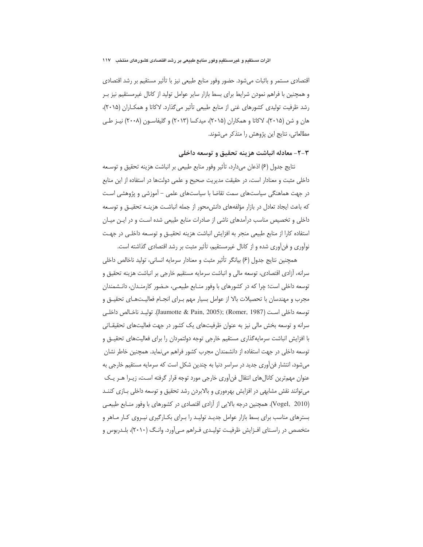اقتصادی مستمر و باثبات میشود. حضور وفور منابع طبیعی نیز با تأثیر مستقیم بر رشد اقتصادی و همچنین با فراهم نمودن شرایط برای بسط بازار سایر عوامل تولید از کانال غیرمستقیم نیز بـر رشد ظرفیت تولیدی کشورهای غنی از منابع طبیعی تأثیر میگذارد. لاکاتا و همکاران (۲۰۱۵)، هان و شن (۲۰۱۵)، لاکاتا و همکاران (۲۰۱۵)، میدکسا (۲۰۱۳) و گلیفاسـون (۲۰۰۸) نیــز طــی مطالعاتی، نتایج این پژوهش را متذکر می شوند.

# ٣-٢- معادله انباشت هزينه تحقيق و توسعه داخلي

نتايج جدول (۶) اذعان مىدارد، تأثير وفور منابع طبيعى بر انباشت هزينه تحقيق و توسـعه داخلی مثبت و معنادار است، در حقیقت مدیریت صحیح و علمی دولتها در استفاده از این منابع در جهت هماهنگی سیاستهای سمت تقاضا با سیاستهای علمی – آموزشی و پژوهشی است كه باعث ايجاد تعادل در بازار مؤلفههاى دانش،حور از جمله انباشت هزينـه تحقيــق و توسـعه داخلی و تخصیص مناسب درآمدهای ناشی از صادرات منابع طبیعی شده اسـت و در ایـن میـان استفاده كارا از منابع طبیعی منجر به افزایش انباشت هزینه تحقیــق و توســعه داخلــی در جهــت نوآوری و فن آوری شده و از کانال غیرمستقیم، تأثیر مثبت بر رشد اقتصادی گذاشته است.

همچنین نتایج جدول (۶) بیانگر تأثیر مثبت و معنادار سرمایه انسانی، تولید ناخالص داخلی سرانه، آزادی اقتصادی، توسعه مالی و انباشت سرمایه مستقیم خارجی بر انباشت هزینه تحقیق و توسعه داخلی است؛ چرا که در کشورهای با وفور منـابع طبیعـی، حـضور کارمنـدان، دانـشمندان مجرب و مهندسان با تحصیلات بالا از عوامل بسیار مهم بـرای انجـام فعالیـتهـای تحقیـق و توسعه داخلي است (Jaumotte & Pain, 2005); (Romer, 1987). توليـد ناخـالص داخلـي سرانه و توسعه بخش مالی نیز به عنوان ظرفیتهای یک کشور در جهت فعالیتهای تحقیقـاتی با افزایش انباشت سرمایهگذاری مستقیم خارجی توجه دولتمردان را برای فعالیتهای تحقیــق و توسعه داخلی در جهت استفاده از دانشمندان مجرب کشور فراهم می نماید. همچنین خاطر نشان می شود، انتشار فن آوری جدید در سراسر دنیا به چندین شکل است که سرمایه مستقیم خارجی به عنوان مهمترین کانالهای انتقال فنآوری خارجی مورد توجه قرار گرفته است، زیـرا هـر یـک می توانند نقش مشابهی در افزایش بهرهوری و بالابردن رشد تحقیق و توسعه داخلی بازی کننـد (Vogel, 2010). همچنین درجه بالایی از آزادی اقتصادی در کشورهای با وفور منـابع طبیعـی بسترهای مناسب برای بسط بازار عوامل جدیـد تولیـد را بـرای بکـارگیری نیـروی کـار مـاهر و متخصص در راسـتای افـزايش ظرفيـت توليـدی فـراهم مـی[ورد. وانـگ (٢٠١٠)، بلـدربوس و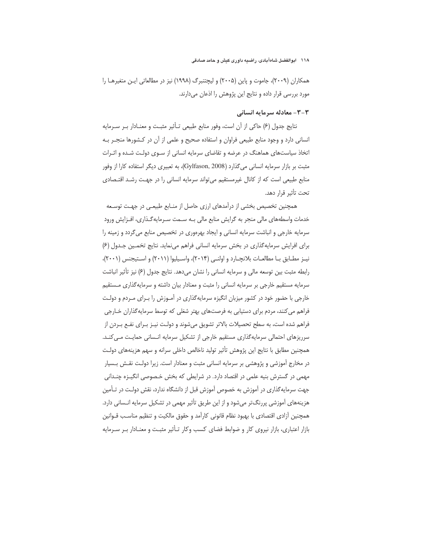همکاران (۲۰۰۹)، جاموت و پاین (۲۰۰۵) و لیچتنبرگ (۱۹۹۸) نیز در مطالعاتی ایـن متغیرهـا را مورد بررسی قرار داده و نتایج این پژوهش را اذعان میدارند.

#### ۳-۳- معادله سرمایه انسانی

نتايج جدول (۶) حاكي از آن است، وفور منابع طبيعي تـأثير مثبت و معنـادار بـر سـرمايه انسانی دارد و وجود منابع طبیعی فراوان و استفاده صحیح و علمی از آن در کـشورها منجــر بــه اتخاذ سیاستهای هماهنگ در عرضه و تقاضای سرمایه انسانی از سـوی دولـت شـده و اثـرات مثبت بر بازار سرمايه انساني ميگذارد (Gylfason, 2008)، به تعبيري ديگر استفاده كارا از وفور منابع طبیعی است که از کانال غیرمستقیم می تواند سرمایه انسانی را در جهت رشـد اقتـصادی تحت تأثير قرار دهد.

همچنین تخصیص بخشی از درآمدهای ارزی حاصل از منـابع طبیعـی در جهـت توسـعه خدمات واسطههای مالی منجر به گرایش منابع مالی بـه سـمت سـرمایهگـذاری، افـزایش ورود سرمایه خارجی و انباشت سرمایه انسانی و ایجاد بهرهوری در تخصیص منابع می گردد و زمینه را برای افرایش سرمایهگذاری در بخش سرمایه انسانی فراهم می نماید. نتایج تخمـین جـدول (۶) نيـز مطـابق بـا مطالعـات بلانچـارد و اولنـى (٢٠١۴)، واسـيليوا (٢٠١١) و اسـتيجنس (٢٠٠١)، رابطه مثبت بین توسعه مالی و سرمایه انسانی را نشان میدهد. نتایج جدول (۶) نیز تأثیر انباشت سرمایه مستقیم خارجی بر سرمایه انسانی را مثبت و معنادار بیان داشته و سرمایهگذاری مستقیم خارجی با حضور خود در کشور میزبان انگیزه سرمایهگذاری در آمـوزش را بـرای مـردم و دولـت فراهم می کنند، مردم برای دستیابی به فرصتهای بهتر شغلی که توسط سرمایه گذاران خـارجی فراهم شده است، به سطح تحصیلات بالاتر تشویق میشوند و دولت نیـز بـرای نفـع بـردن از سرریزهای احتمالی سرمایهگذاری مستقیم خارجی از تشکیل سرمایه انـسانی حمایـت مـیکنـد. همچنین مطابق با نتایج این پژوهش تأثیر تولید ناخالص داخلی سرانه و سهم هزینههای دولت در مخارج آموزشی و پژوهشی بر سرمایه انسانی مثبت و معنادار است. زیرا دولت نقش بسیار مهمی در گسترش بنیه علمی در اقتصاد دارد. در شرایطی که بخش خـصوصی انگیـزه چنـدانی جهت سرمایهگذاری در آموزش به خصوص آموزش قبل از دانشگاه ندارد، نقش دولت در تـأمین هزینههای آموزشی پررنگتر میشود و از این طریق تأثیر مهمی در تشکیل سرمایه انـسانی دارد. همچنین آزادی اقتصادی با بهبود نظام قانونی کارآمد و حقوق مالکیت و تنظیم مناسب قــوانین بازار اعتباری، بازار نیروی کار و ضوابط فضای کسب وکار تـأثیر مثبـت و معنـادار بـر سـرمایه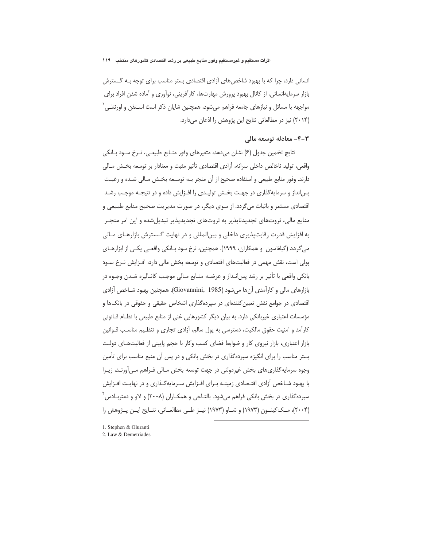انسانی دارد، چرا که با بهبود شاخص های آزادی اقتصادی بستر مناسب برای توجه بـه گـسترش بازار سرمایهانسانی، از کانال بهبود پرورش مهارتها، کارآفرینی، نوآوری و آماده شدن افراد برای مواجهه با مسائل و نیازهای جامعه فراهم میشود، همچنین شایان ذکر است اسـتفن و اورنتلــ ٬ (۲۰۱۴) نیز در مطالعاتی نتایج این پژوهش را اذعان میدارد.

## ۴-۳- معادله توسعه مالی

نتايج تخمين جدول (۶) نشان مي دهد، متغيرهاي وفور منــابع طبيعــي، نــرخ ســود بــانكي واقعی، تولید ناخالص داخلی سرانه، آزادی اقتصادی تأثیر مثبت و معنادار بر توسعه بخش مـالی دارند. وفور منابع طبیعی و استفاده صحیح از آن منجر بـه توسـعه بخـش مـالی شـده و رغبـت پسانداز و سرمایهگذاری در جهت بخـش تولیـدی را افـزایش داده و در نتیجـه موجـب رشـد اقتصادی مستمر و باثبات می گردد. از سوی دیگر، در صورت مدیریت صحیح منابع طبیعی و منابع مالی، ثروتهای تجدیدناپذیر به ثروتهای تجدیدپذیر تبدیلشده و این امر منجـر به افزايش قدرت رقابت پذيري داخلي و بين المللي و در نهايت گـسترش بازارهـاي مـالي می گردد (گیلفاسون و همکاران، ۱۹۹۹). همچنین، نرخ سود بـانکی واقعــی یکــی از ابزارهـای یولی است، نقش مهمی در فعالیتهای اقتصادی و توسعه بخش مالی دارد، افـزایش نـرخ سـود بانکی واقعی با تأثیر بر رشد پس|نـداز و عرضـه منــابع مــالی موجـب کانــالیزه شــدن وجــوه در بازارهای مالی و کارآمدی آنها می شود (Giovannini, 1985). همچنین بهبود شـاخص آزادی اقتصادی در جوامع نقش تعیین کنندهای در سپردهگذاری اشخاص حقیقی و حقوقی در بانکها و مؤسسات اعتباری غیربانکی دارد. به بیان دیگر کشورهایی غنی از منابع طبیعی با نظـام قــانونی کارآمد و امنیت حقوق مالکیت، دسترسی به پول سالم، آزادی تجاری و تنظـیم مناسـب قــوانین بازار اعتباری، بازار نیروی کار و ضوابط فضای کسب وکار با حجم پایینی از فعالیتهای دولت بستر مناسب را برای انگیزه سپردهگذاری در بخش بانکی و در پس آن منبع مناسب برای تأمین وجوه سرمایهگذاریهای بخش غیردولتی در جهت توسعه بخش مـالی فـراهم مـی[ورنـد، زیـرا با بهبود شـاخص آزادي اقتـصادي زمينــه بـراي افـزايش سـرمايهگـذاري و در نهايـت افـزايش سپردهگذاری در بخش بانکی فراهم میشود. بالتــاجی و همکــاران (۲۰۰۸) و لاو و دمتربــادس ٔ (۲۰۰۴)، مــک کینــون (۱۹۷۳) و شــاو (۱۹۷۳) نیــز طــی مطالعــاتی، نتــایج ایــن پــژوهش را

1. Stephen & Oluranti

<sup>2.</sup> Law & Demetriades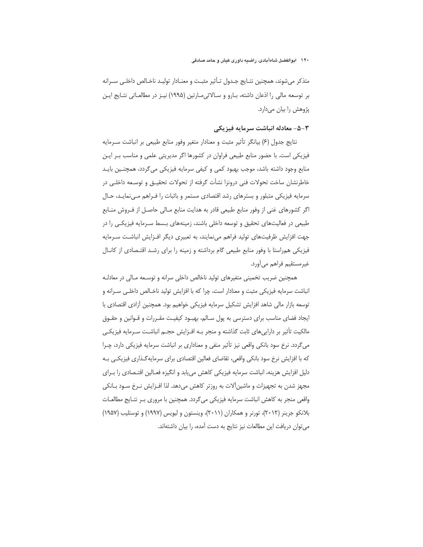#### ۱۲۰ ابوالفضل شاهآبادی، راضیه داوری کیش و حامد صادقی

متذكر مى شوند، همچنين نتـايج جـدول تـأثير مثبـت و معنـادار توليـد ناخـالص داخلـى سـرانه بر توسعه مالی را اذعان داشته، بـارو و سـالائیمـارتین (۱۹۹۵) نیـز در مطالعـاتی نتـایج ایـن پژوهش را بيان ميدارد.

# ۳-۵- معادله انیاشت سرمایه فیزیکی

نتايج جدول (۶) بيانگر تأثير مثبت و معنادار متغير وفور منابع طبيعي بر انباشت سـرمايه فیزیکی است. با حضور منابع طبیعی فراوان در کشورها اگر مدیریتی علمی و مناسب بـر ایـن منابع وجود داشته باشد، موجب بهبود کمی و کیفی سرمایه فیزیکی می گردد، همچنـین بایـد خاطرنشان ساخت تحولات فنی درونزا نشأت گرفته از تحولات تحقیـق و توسـعه داخلـی در سرمایه فیزیکی متبلور و بسترهای رشد اقتصادی مستمر و باثبات را فـراهم مـیiمایـد، حـال اگر کشورهای غنی از وفور منابع طبیعی قادر به هدایت منابع مـالی حاصـل از فـروش منـابع طبیعی در فعالیتهای تحقیق و توسعه داخلی باشند، زمینههای بـسط سـرمایه فیزیکـی را در جهت افزایش ظرفیتهای تولید فراهم میiمایند، به تعبیری دیگر افـزایش انباشـت سـرمایه فیزیکی همراستا با وفور منابع طبیعی گام برداشته و زمینه را برای رشد اقتـصادی از کانـال غيرمستقيم فراهم ميأورد.

همچنین ضریب تخمینی متغیرهای تولید ناخالص داخلی سرانه و توسـعه مـالی در معادلـه انباشت سرمايه فيزيكي مثبت و معنادار است، چرا كه با افزايش توليد ناخـالص داخلـي سـرانه و توسعه بازار مالی شاهد افزایش تشکیل سرمایه فیزیکی خواهیم بود. همچنین آزادی اقتصادی با ایجاد فضای مناسب برای دسترسی به پول سـالم، بهبـود کیفیـت مقـررات و قـوانین و حقـوق مالکیت تأثیر بر داراییهای ثابت گذاشته و منجر بـه افـزایش حجـم انباشـت سـرمایه فیزیکـی میگردد. نرخ سود بانکی واقعی نیز تأثیر منفی و معناداری بر انباشت سرمایه فیزیکی دارد، چـرا که با افزایش نرخ سود بانکی واقعی، تقاضای فعالین اقتصادی برای سرمایه گذاری فیزیکی بـه دلیل افزایش هزینه، انباشت سرمایه فیزیکی کاهش می یابد و انگیزه فعـالین اقتـصادی را بـرای مجهز شدن به تجهیزات و ماشینآلات به روزتر کاهش میدهد. لذا افـزایش نـرخ سـود بـانکی واقعی منجر به کاهش انباشت سرمایه فیزیکی میگردد. همچنین با مروری بـر نتـایج مطالعـات بلانکو جرینر (۲۰۱۲)، تورنر و همکاران (۲۰۱۱)، وینستون و لیویس (۱۹۹۷) و توستلیب (۱۹۵۷) می توان دریافت این مطالعات نیز نتایج به دست آمده، را بیان داشتهاند.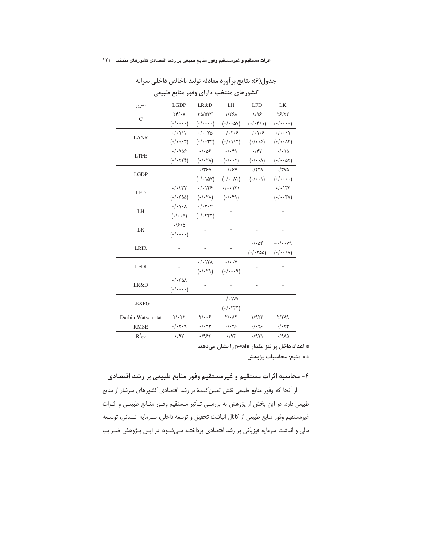|                                      |  |  | جدول(۶): نتایج بر آورد معادله تولید ناخالص داخلی سرانه |
|--------------------------------------|--|--|--------------------------------------------------------|
| کشورهای منتخب دارای وفور منابع طبیعی |  |  |                                                        |

| متغيير             | <b>LGDP</b>                                      | LR&D                                         | LH                                        | <b>LFD</b>                    | LK                                       |  |
|--------------------|--------------------------------------------------|----------------------------------------------|-------------------------------------------|-------------------------------|------------------------------------------|--|
| $\mathcal{C}$      | $\Upsilon \Upsilon / \Upsilon$                   | ٣۵/۵٣٣                                       | 1/٢۶٨                                     | 1/99                          | 78/75                                    |  |
|                    | $(\cdot/\cdots)$                                 | $(\cdot/\cdot\cdot\cdot\cdot)$               | $(\cdot/\cdot\cdot\Delta V)$              | $(\cdot/\cdot\mathbf{y})$     | $(\cdot/\cdots)$                         |  |
| <b>LANR</b>        | . / . 117                                        | $\cdot/\cdot\cdot\tau\Delta$                 | $\cdot/\cdot$ $\cdot$ $\circ$             | $\cdot/\cdot\setminus\cdot$ ۶ | $\cdot/\cdot\cdot$                       |  |
|                    | $(\cdot/\cdot\cdot)$                             | $(\cdot/\cdot\cdot\mathbb{Y}^e)$             | $(\cdot/\cdot\setminus\setminus\Upsilon)$ | $(\cdot/\cdot\cdot\Delta)$    | $(\cdot/\cdot\cdot\wedge\mathfrak{r})$   |  |
| <b>LTFE</b>        | . / .909                                         | $\cdot/\cdot\Delta5$                         | $\cdot/\cdot$ ۴۹                          | $\cdot$ /۴۷                   | $\cdot/\cdot \setminus \Delta$           |  |
|                    | $($ ./. $\forall$                                | $($ - $/$ - $\uparrow$ $\uparrow$ $\uparrow$ | $(\cdot/\cdot\cdot\mathsf{Y})$            | $(\cdot/\cdot\cdot\lambda)$   | $($ ./ $\cdot$ $\land$ $\land$           |  |
|                    |                                                  | .1750                                        | . / .5V                                   | $\cdot$ /٢٣٨                  | $\cdot$ /٣٧۵                             |  |
| <b>LGDP</b>        |                                                  | $(\cdot/\cdot \text{var})$                   | $(\cdot/\cdot\cdot\wedge\tau)$            | $(\cdot/\cdot\cdot)$          | $(\cdot/\cdot\cdot\cdot\cdot)$           |  |
|                    | $\cdot/\cdot$ $\uparrow\uparrow\uparrow\uparrow$ | . / . 199                                    | $\cdot/\cdot\cdot$ \ \ \ \                |                               | $\cdot/\cdot$ \ $\uparrow\uparrow$       |  |
| <b>LFD</b>         | $($ ./ $\cdot$ ۳۵۵)                              | $(\cdot/\cdot\tau\lambda)$                   | $(\cdot/\cdot \mathfrak{r} \mathfrak{q})$ |                               | $(\cdot/\cdot\cdot\mathsf{r}\mathsf{v})$ |  |
| LH                 | $\cdot/\cdot\setminus\cdot\wedge$                | $\cdot/\cdot$ ۳ $\cdot$ ۴                    |                                           |                               |                                          |  |
|                    | $(\cdot/\cdot\cdot\Delta)$                       | $(\cdot/\cdot$ ۴۴۲)                          |                                           |                               |                                          |  |
| LK                 | $\cdot$ / $5\lambda$                             |                                              |                                           |                               |                                          |  |
|                    | $(\cdot/\cdot\cdot\cdot\cdot)$                   |                                              |                                           |                               |                                          |  |
| <b>LRIR</b>        |                                                  |                                              |                                           | $\cdot/\cdot\Delta f$         | $-\cdot/\cdot\cdot\vee$ 9                |  |
|                    |                                                  | $\overline{\phantom{0}}$                     |                                           | $( - / - 700)$                | $(\cdot/\cdot\cdot\vee)$                 |  |
| <b>LFDI</b>        |                                                  | $\cdot/\cdot$ \۳ $\Lambda$                   | $\cdot/\cdot\cdot$ Y                      |                               |                                          |  |
|                    |                                                  | (1.79)                                       | (1.1)                                     |                               |                                          |  |
| LR&D               | $\cdot/\cdot\tau$ al                             |                                              |                                           |                               |                                          |  |
|                    | $(\cdot/\cdot\cdot\cdot\cdot)$                   |                                              |                                           | $\overline{\phantom{0}}$      |                                          |  |
| <b>LEXPG</b>       |                                                  |                                              | $\cdot/\cdot$ \YY                         |                               |                                          |  |
|                    |                                                  |                                              | $($ ./. $\forall$ ۳۳)                     |                               |                                          |  |
| Durbin-Watson stat | $Y/\cdot YY$                                     | $\gamma/\sqrt{2}$                            | $Y/\cdot \Lambda Y$                       | 1/977                         | 7/719                                    |  |
| <b>RMSE</b>        | .7.7.9                                           | $\cdot/\cdot$ $\uparrow\uparrow$             | $\cdot/\cdot$ ۳۶                          | .1.79                         | $\cdot/\cdot$ ۴۳                         |  |
| $R^2_{CN}$         | $\cdot$ /9 $\vee$                                | .195                                         | $\cdot$ /95                               | $\cdot$ /9 $\gamma$           | 4/9A                                     |  |

\* اعداد داخل پرانتز مقدار p-valu را نشان میدهد.

\*\* منبع: محاسبات پژوهش

# ۴- محاسبه اثرات مستقيم و غيرمستقيم وفور منابع طبيعي بر رشد اقتصادي

از آنجا که وفور منابع طبیعی نقش تعیین کنندهٔ بر رشد اقتصادی کشورهای سرشار از منابع طبیعی دارد، در این بخش از پژوهش به بررسی تـأثیر مـستقیم وفـور منـابع طبیعـی و اثـرات غيرمستقيم وفور منابع طبيعي از كانال انباشت تحقيق و توسعه داخلي، سـرمايه انـساني، توسـعه مالی و انباشت سرمایه فیزیکی بر رشد اقتصادی پرداختـه مـیشـود، در ایـن پـژوهش ضـرایب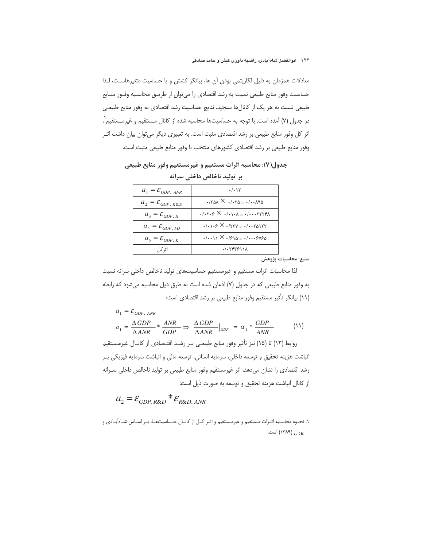معادلات همزمان به دلیل لگاریتمی بودن آن ها، بیانگر کشش و یا حساسیت متغیرهاست، لـذا حساسیت وفور منابع طبیعی نسبت به رشد اقتصادی را می توان از طریــق محاسـبه وفـور منـابع طبیعی نسبت به هر یک از کانالها سنجید. نتایج حساسیت رشد اقتصادی به وفور منابع طبیعی در جدول (۷) آمده است. با توجه به حساسیتها محاسبه شده از کانال مـستقیم و غیرمـستقیم`، اثر کل وفور منابع طبیعی بر رشد اقتصادی مثبت است. به تعبیری دیگر می توان بیان داشت اثـر وفور منابع طبیعی بر رشد اقتصادی کشورهای منتخب با وفور منابع طبیعی مثبت است.

| $a_1 = \mathcal{E}_{GDP, ANR}$  | . / . 17                                                                                                                  |
|---------------------------------|---------------------------------------------------------------------------------------------------------------------------|
| $a_2 = \mathcal{E}_{GDP, R\&D}$ | $.784 \times .760 = .7840$                                                                                                |
| $a_3 = \mathcal{E}_{GDP, H}$    | $\cdot$ / $\cdot$ r $\cdot$ $\geq$ $\times$ $\cdot$ / $\cdot$ $\cdot$ $\wedge$ $=$ $\cdot$ / $\cdot$ $\cdot$ rrr $\wedge$ |
| $a_4 = \mathcal{E}_{GDP, FD}$   | $\cdot$ / $\cdot$ $\cdot$ $\cdot$ $\times$ $\cdot$ /۲۳۷ = $\cdot$ / $\cdot$ $\cdot$ ۲۵۱۲۲                                 |
| $a_5 = \mathcal{E}_{GDP, K}$    | $(1.1) \times 1.510 = 1.1.5488$                                                                                           |
| اثر کا ,                        | . / . YYYYY                                                                                                               |

جدول(٧): محاسبه اثرات مستقيم و غيرمستقيم وفور منابع طبيعي بر تولید ناخالص داخلی سرانه

منبع: محاسبات پژوهش

لذا محاسبات اثرات مستقيم و غيرمستقيم حساسيتهاى توليد ناخالص داخلى سرانه نسبت به وفور منابع طبیعی که در جدول (٧) اذعان شده است به طرق ذیل محاسبه می شود که رابطه (١١) بيانكر تأثير مستقيم وفور منابع طبيعي بر رشد اقتصادي است:

$$
a_1 = \mathcal{E}_{GDP, ANR}
$$
  

$$
a_1 = \frac{\Delta GDP}{\Delta ANR} * \frac{ANR}{GDP} \Rightarrow \frac{\Delta GDP}{\Delta ANR} \Big|_{GDP} = \alpha_1 * \frac{GDP}{ANR}
$$
 (11)

روابط (١٢) تا (١۵) نيز تأثير وفور منابع طبيعـي بـر رشـد اقتـصادي از كانـال غيرمـستقيم انباشت هزينه تحقيق و توسعه داخلي، سرمايه انساني، توسعه مالي و انباشت سرمايه فيزيكي بر رشد اقتصادی را نشان میدهد، اثر غیرمستقیم وفور منابع طبیعی بر تولید ناخالص داخلی سـرانه از كانال انباشت هزينه تحقيق و توسعه به صورت ذيل است:

$$
a_2 = \mathcal{E}_{GDP, R\&D} * \mathcal{E}_{R\&D, ANR}
$$

١. نحـوه محاسـبه اثـرات مـستقيم و غيرمـستقيم و اثـر كـل از كانـال حـساسيتهـا، بـر اسـاس شـاه آبـادى و پوران (۱۳۸۹) است.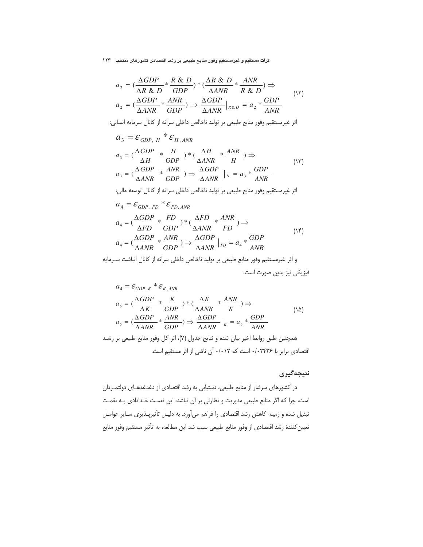اثرات مستقیم و غیرمستقیم وفور منابع طبیعی بر رشد اقتصادی کشورهای منتخب ۔۱۲۳

$$
a_2 = \left(\frac{\Delta GDP}{\Delta R \& D} * \frac{R \& D}{GDP}\right) * \left(\frac{\Delta R \& D}{\Delta ANR} * \frac{ANR}{R \& D}\right) \Rightarrow
$$
  

$$
a_2 = \left(\frac{\Delta GDP}{\Delta ANR} * \frac{ANR}{GDP}\right) \Rightarrow \frac{\Delta GDP}{\Delta ANR} \Big|_{R \& D} = a_2 * \frac{GDP}{ANR}
$$
 (15)

اثر غيرمستقيم وفور منابع طبيعي بر توليد ناخالص داخلي سرانه از كانال سرمايه انساني:

$$
a_3 = \mathcal{E}_{GDP, H} * \mathcal{E}_{H, ANR}
$$
  
\n
$$
a_3 = \left(\frac{\Delta GDP}{\Delta H} * \frac{H}{GDP}\right) * \left(\frac{\Delta H}{\Delta ANR} * \frac{ANR}{H}\right) \Rightarrow
$$
  
\n
$$
a_3 = \left(\frac{\Delta GDP}{\Delta ANR} * \frac{ANR}{GDP}\right) \Rightarrow \frac{\Delta GDP}{\Delta ANR} \Big|_H = a_3 * \frac{GDP}{ANR}
$$
  
\n
$$
\therefore \quad \text{with the initial value of } \Delta ANR
$$

$$
a_4 = \mathcal{E}_{GDP, FD} * \mathcal{E}_{FD, ANR}
$$
  
\n
$$
a_4 = \left(\frac{\Delta GDP}{\Delta FD} * \frac{FD}{GDP}\right) * \left(\frac{\Delta FD}{\Delta ANR} * \frac{ANR}{FD}\right) \Rightarrow
$$
  
\n
$$
a_4 = \left(\frac{\Delta GDP}{\Delta ANR} * \frac{ANR}{GDP}\right) \Rightarrow \frac{\Delta GDP}{\Delta ANR} \Big|_{FD} = a_4 * \frac{GDP}{ANR}
$$
 (15)

و اثر غیرمستقیم وفور منابع طبیعی بر تولید ناخالص داخلی سرانه از کانال انباشت سـرمایه فيزيكي نيز بدين صورت است:

اقتصادی برابر با ۲۴۳۶۰/۰ است که ۰/۰۱۲ آن ناشی از اثر مستقیم است.

# نتيجەگيرى

در کشورهای سرشار از منابع طبیعی، دستیابی به رشد اقتصادی از دغدغههـای دولتمـردان است، چرا که اگر منابع طبیعی مدیریت و نظارتی بر آن نباشد، این نعمت خـدادادی بـه نقمـت تبدیل شده و زمینه کاهش رشد اقتصادی را فراهم میآورد. به دلیـل تأثیرپـذیری سـایر عوامـل تعيين كنندة رشد اقتصادي از وفور منابع طبيعي سبب شد اين مطالعه، به تأثير مستقيم وفور منابع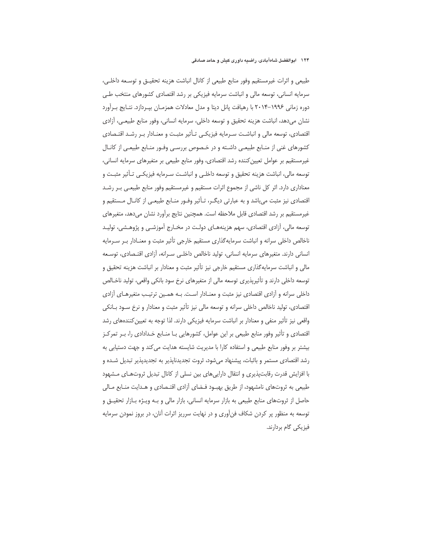طبيعي و اثرات غيرمستقيم وفور منابع طبيعي از كانال انباشت هزينه تحقيــق و توســعه داخلــي، سرمایه انسانی، توسعه مالی و انباشت سرمایه فیزیکی بر رشد اقتصادی کشورهای منتخب طے دوره زمانی ۱۹۹۶–۲۰۱۴ با رهیافت پانل دیتا و مدل معادلات همزمـان بیـردازد. نتـایج بـرآورد نشان میدهد، انباشت هزینه تحقیق و توسعه داخلی، سرمایه انسانی، وفور منابع طبیعـی، آزادی اقتصادی، توسعه مالی و انباشت سـرمایه فیزیکـی تـأثیر مثبـت و معنـادار بـر رشـد اقتـصادی کشورهای غنی از منـابع طبیعـی داشـته و در خـصوص بررسـی وفـور منـابع طبیعـی از کانـال غیرمستقیم بر عوامل تعیین کننده رشد اقتصادی، وفور منابع طبیعی بر متغیرهای سرمایه انسانی، توسعه مالي، انباشت هزينه تحقيق و توسعه داخلـى و انباشـت سـرمايه فيزيكـى تـأثير مثبـت و معناداری دارد. اثر کل ناشی از مجموع اثرات مستقیم و غیرمستقیم وفور منابع طبیعے پیر رشد اقتصادی نیز مثبت می باشد و به عبارتی دیگـر، تـأثیر وفـور منـابع طبیعـی از کانـال مـستقیم و غیرمستقیم بر رشد اقتصادی قابل ملاحظه است. همچنین نتایج برآورد نشان میدهد، متغیرهای توسعه مالي، آزادي اقتصادي، سهم هزينههـاي دولـت در مخـارج آموزشـي و پژوهـشي، توليـد ناخالص داخلی سرانه و انباشت سرمایه گذاری مستقیم خارجی تأثیر مثبت و معنـادار بـر سـرمایه انسانی دارند. متغیرهای سرمایه انسانی، تولید ناخالص داخلـی سـرانه، آزادی اقتـصادی، توسـعه مالی و انباشت سرمایه گذاری مستقیم خارجی نیز تأثیر مثبت و معنادار بر انباشت هزینه تحقیق و توسعه داخلی دارند و تأثیریذیری توسعه مالی از متغیرهای نرخ سود بانکی واقعی، تولید ناخـالص داخلی سرانه و آزادی اقتصادی نیز مثبت و معنـادار اسـت. بـه همـین ترتیـب متغیرهـای آزادی اقتصادی، تولید ناخالص داخلی سرانه و توسعه مالی نیز تأثیر مثبت و معنادار و نرخ سـود بـانکی واقعی نیز تأثیر منفی و معنادار بر انباشت سرمایه فیزیکی دارند. لذا توجه به تعیین کنندههای رشد اقتصادی و تأثیر وفور منابع طبیعی بر این عوامل، کشورهایی بـا منـابع خـدادادی را، بـر تمرکـز بیشتر بر وفور منابع طبیعی و استفاده کارا با مدیریت شایسته هدایت می کند و جهت دستیابی به رشد اقتصادی مستمر و باثبات، پیشنهاد میشود، ثروت تجدیدناپذیر به تجدیدپذیر تبدیل شـده و با افزایش قدرت رقابتپذیری و انتقال دارایی های بین نسلی از کانال تبدیل ثروتهـای مـشهود طبیعی به ثروتهای نامشهود، از طریق بهبـود فـضای آزادی اقتـصادی و هـدایت منـابع مـالی حاصل از ثروتهای منابع طبیعی به بازار سرمایه انسانی، بازار مالی و بـه ویـژه بـازار تحقیـق و توسعه به منظور پر کردن شکاف فنآوری و در نهایت سرریز اثرات آنان، در بروز نمودن سرمایه فيزيكي گام بردارند.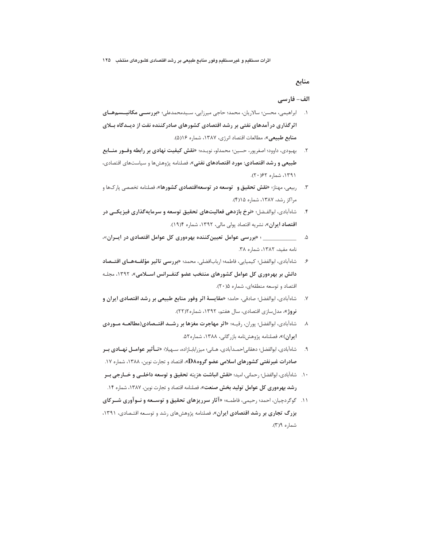## منابع

#### الف- فارسي

- ۱. ابراهیمی، محسن؛ سالاریان، محمد؛ حاجی میرزایی، سـیدمحمدعلی؛ «**بررســی مکانیـــسمهــای** اثرگذاری در آمدهای نفتی بر رشد اقتصادی کشورهای صادرکننده نفت از دیـدگاه بـلای منابع طبيعي»، مطالعات اقتصاد انرژي، ١٣٨٧، شماره ١٢(۵).
- ۲. بهبودي، داوود؛ اصغرپور، حسين؛ محمدلو، نويـده؛ «نقش كيفيت نهادي بر رابطه وفــور منــابع طبیعی و رشد اقتصادی: مورد اقتصادهای نفتی»، فصلنامه پژوهشها و سیاستهای اقتصادی، ۱۳۹۱، شماره ۶۲(۲۰).
- ۳. د <sub>د</sub>بیعی، مهناز؛ **«نقش تحقیق و توسعه در توسعهاقتصادی کشورها»**، فصلنامه تخصصی پارکها و مراكز رشد، ۱۳۸۷، شماره ۱۵(۴).
- ۴. سشاهآبادی، ابوالفیضل؛ «**نرخ بازدهی فعالیتهای تحقیق توسعه و سرمایه گذاری فیزیکیی در اقتصاد ایران»**، نشریه اقتصاد پولی مالی، ۱۳۹۲، شماره ۱۹۱۴).
- نامه مفید، ١٣٨٢، شماره ٣٨.
- ۶. شاهآبادی، ابوالفضل؛ کیمیایی، فاطمه؛ اربابافضلی، محمد؛ **«بررسی تاثیر مؤلفـههـای اقتــصاد** دانش بر بهرهوری کل عوامل کشورهای منتخب عضو کنفـرانس اســلامی»، ۱۳۹۲، مجلـه اقتصاد و توسعه منطقهای، شماره ۰/۵ (۲۰).
- ۷. شاه آبادی، ابوالفضل؛ صادقی، حامد؛ «مقایسهٔ اثر وفور منابع طبیعی بر رشد اقتصادی ایران و نروژ»، مدلسازی اقتصادی، سال هفتم، ۱۳۹۲، شماره ۲۲)۲).
- ۸. سشاهآبادی، ابوالفضل؛ پوران، رقیـه؛ «**اثر مهاجرت مغزها بر رشــد اقتــصادی(مطالعــه مــوردی** ايران)»، فصلنامه پژوهشنامه بازرگاني، ١٣٨٨، شماره ٥٢.
- ۹. شامآبادي، ابوالفضل؛ دهقاني|حمـدآبادي، هـاني؛ ميزرابابـازاده، سـهيلا؛ «**تــأثير عوامــل نهــادي بــر** صادرات غیرنفتی کشورهای اسلامی عضو گروهD۸»، اقتصاد و تجارت نوین، ۱۳۸۸، شماره ۱۷.
- ١٠. شاهآبادي، ابوالفضل؛ رحماني، اميد؛ «فقش **انباشت** هزينه تحقيق و توسعه داخلــى و خــارجى بــر **رشد بهرهوری کل عوامل تولید بخش صنعت»** فصلنامه اقتصاد و تجارت نوین، ۱۳۸۷، شماره ۱۴.
- ۱۱. گوگردچیان، احمد؛ رحیمی، فاطمـه؛ «آثار **سرریزهای تحقیق و توسـعه و نــوآوری شــرکای** بزرگ تجاری بر رشد اقتصادی ایران»، فصلنامه پژوهشهای رشد و توسـعه اقتـصادی، ۱۳۹۱، شماره ۶(۳).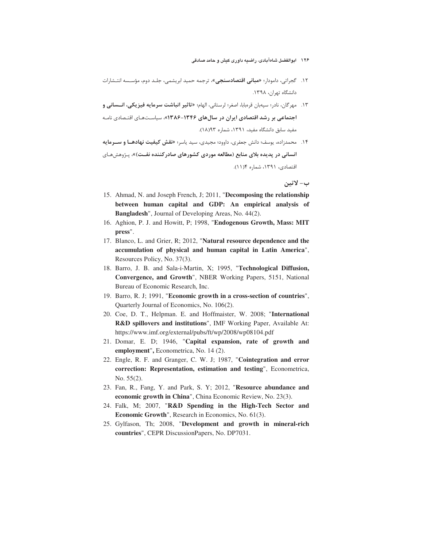- ۱۲۶ ابوالفضل شاهآبادی، راضیه داوری کیش و حامد صادقی
- ۱۲. گجراتی، دامودار؛ «ه**بانی اقتصادسنجی**»، ترجمه حمید ابریشمی، جلـد دوم، مؤسـسه انتـشارات دانشگاه تهران، ۱۳۹۸.
- ١٣. مهر گان، نادر؛ سپهبان قرمبابا، اصغر؛ لرستاني، الهام؛ «**تاثير انباشت سرمايه فيزيكي، انــساني و** اجتماعی بر رشد اقتصادی ایران در سالهای ۱۳۴۶-۱۳۸۶»، سیاستهای اقتصادی نامـه مفید سابق دانشگاه مفید، ۱۳۹۱، شماره ۱۸(۱۸).
- ۱۴. محمدزاده، یوسف؛ دانش جعفری، داوود؛ مجیدی، سید یاسر؛ «**نقش کیفیت نهادهــا و ســرمایه** انسانی در پدیده بلای منابع (مطالعه موردی کشورهای صادرکننده نفـت)»، پـژوهشهـای اقتصادي، ١٣٩١، شماره ١(١١).

ب- لاتين

- 15. Ahmad, N. and Joseph French, J; 2011, "**Decomposing the relationship between human capital and GDP: An empirical analysis of Bangladesh**", Journal of Developing Areas, No. 44(2).
- 16. Aghion, P. J. and Howitt, P; 1998, "**Endogenous Growth, Mass: MIT press**".
- 17. Blanco, L. and Grier, R; 2012, "**Natural resource dependence and the accumulation of physical and human capital in Latin America**", Resources Policy, No. 37(3).
- 18. Barro, J. B. and Sala-i-Martin, X; 1995, "**Technological Diffusion, Convergence, and Growth**", NBER Working Papers, 5151, National Bureau of Economic Research, Inc.
- 19. Barro, R. J; 1991, "**Economic growth in a cross-section of countries**", Quarterly Journal of Economics, No. 106(2).
- 20. Coe, D. T., Helpman. E. and Hoffmaister, W. 2008; "**International R&D spillovers and institutions**", IMF Working Paper, Available At: https://www.imf.org/external/pubs/ft/wp/2008/wp08104.pdf
- 21. Domar, E. D; 1946, "**Capital expansion, rate of growth and employment**"**,** Econometrica, No. 14 (2).
- 22. Engle, R. F. and Granger, C. W. J; 1987, "**Cointegration and error correction: Representation, estimation and testing**", Econometrica, No. 55(2).
- 23. Fan, R., Fang, Y. and Park, S. Y; 2012, "**Resource abundance and economic growth in China**", China Economic Review, No. 23(3).
- 24. Falk, M; 2007, "**R&D Spending in the High-Tech Sector and Economic Growth**", Research in Economics, No. 61(3).
- 25. Gylfason, Th; 2008, "**Development and growth in mineral-rich countries**", CEPR DiscussionPapers, No. DP7031.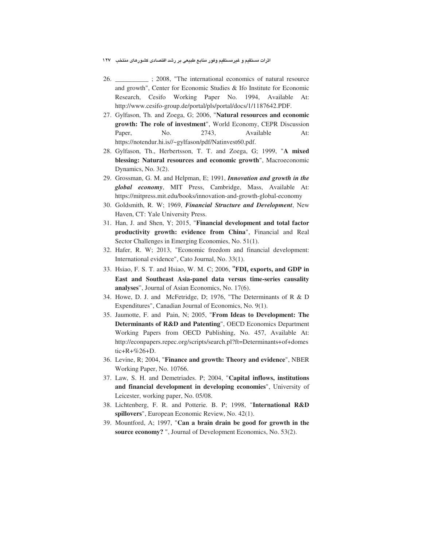- \_\_; 2008, "The international economics of natural resource 26. and growth", Center for Economic Studies & Ifo Institute for Economic Research, Cesifo Working Paper No. 1994, Available At: http://www.cesifo-group.de/portal/pls/portal/docs/1/1187642.PDF.
- 27. Gylfason, Th. and Zoega, G; 2006, "Natural resources and economic growth: The role of investment", World Economy, CEPR Discussion No. 2743. Available Paper, At: https://notendur.hi.is//~gylfason/pdf/Natinvest60.pdf.
- 28. Gylfason, Th., Herbertsson, T. T. and Zoega, G; 1999, "A mixed blessing: Natural resources and economic growth", Macroeconomic Dynamics, No. 3(2).
- 29. Grossman, G. M. and Helpman, E; 1991, *Innovation and growth in the* global economy, MIT Press, Cambridge, Mass, Available At: https://mitpress.mit.edu/books/innovation-and-growth-global-economy
- 30. Goldsmith, R. W; 1969, Financial Structure and Development, New Haven, CT: Yale University Press.
- 31. Han, J. and Shen, Y; 2015, "Financial development and total factor productivity growth: evidence from China", Financial and Real Sector Challenges in Emerging Economies, No. 51(1).
- 32. Hafer, R. W; 2013, "Economic freedom and financial development: International evidence", Cato Journal, No. 33(1).
- 33. Hsiao, F. S. T. and Hsiao, W. M. C; 2006, "FDI, exports, and GDP in East and Southeast Asia-panel data versus time-series causality analyses", Journal of Asian Economics, No. 17(6).
- 34. Howe, D. J. and McFetridge, D; 1976, "The Determinants of R & D Expenditures", Canadian Journal of Economics, No. 9(1).
- 35. Jaumotte, F. and Pain, N; 2005, "From Ideas to Development: The Determinants of R&D and Patenting", OECD Economics Department Working Papers from OECD Publishing, No. 457, Available At: http://econpapers.repec.org/scripts/search.pl?ft=Determinants+of+domes  $tic+R+\%26+D.$
- 36. Levine, R; 2004, "Finance and growth: Theory and evidence", NBER Working Paper, No. 10766.
- 37. Law, S. H. and Demetriades. P; 2004, "Capital inflows, institutions and financial development in developing economies", University of Leicester, working paper, No. 05/08.
- 38. Lichtenberg, F. R. and Potterie. B. P; 1998, "International R&D spillovers", European Economic Review, No. 42(1).
- 39. Mountford, A: 1997, "Can a brain drain be good for growth in the source economy? ", Journal of Development Economics, No. 53(2).

اثرات مستقیم و غیرمستقیم وفور منابع طبیعی بر رشد اقتصادی کشورهای منتخب ۱۲۷